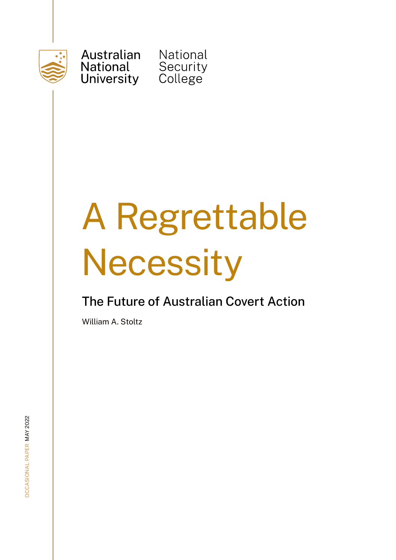

Australian **National** University

**National** Security<br>College

# A Regrettable **Necessity**

### The Future of Australian Covert Action

William A. Stoltz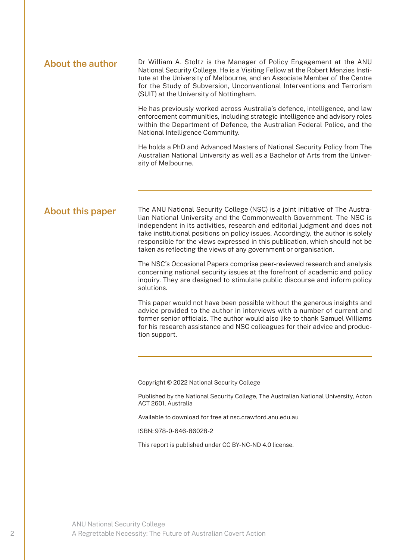**About the author** Dr William A. Stoltz is the Manager of Policy Engagement at the ANU National Security College. He is a Visiting Fellow at the Robert Menzies Institute at the University of Melbourne, and an Associate Member of the Centre for the Study of Subversion, Unconventional Interventions and Terrorism (SUIT) at the University of Nottingham.

> He has previously worked across Australia's defence, intelligence, and law enforcement communities, including strategic intelligence and advisory roles within the Department of Defence, the Australian Federal Police, and the National Intelligence Community.

> He holds a PhD and Advanced Masters of National Security Policy from The Australian National University as well as a Bachelor of Arts from the University of Melbourne.

#### **About this paper**

The ANU National Security College (NSC) is a joint initiative of The Australian National University and the Commonwealth Government. The NSC is independent in its activities, research and editorial judgment and does not take institutional positions on policy issues. Accordingly, the author is solely responsible for the views expressed in this publication, which should not be taken as reflecting the views of any government or organisation.

The NSC's Occasional Papers comprise peer-reviewed research and analysis concerning national security issues at the forefront of academic and policy inquiry. They are designed to stimulate public discourse and inform policy solutions.

This paper would not have been possible without the generous insights and advice provided to the author in interviews with a number of current and former senior officials. The author would also like to thank Samuel Williams for his research assistance and NSC colleagues for their advice and production support.

Copyright © 2022 National Security College

Published by the National Security College, The Australian National University, Acton ACT 2601, Australia

Available to download for free at nsc.crawford.anu.edu.au

ISBN: 978-0-646-86028-2

This report is published under CC BY-NC-ND 4.0 license.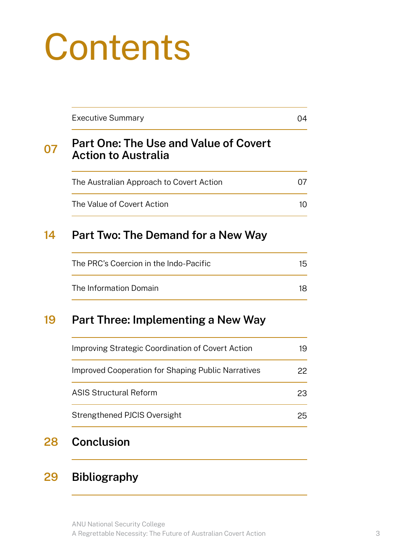## **Contents**

| <b>Executive Summary</b>                                                   | 04              |
|----------------------------------------------------------------------------|-----------------|
| <b>Part One: The Use and Value of Covert</b><br><b>Action to Australia</b> |                 |
| The Australian Approach to Covert Action                                   | 07              |
| The Value of Covert Action                                                 | 10 <sup>°</sup> |
| Part Two: The Demand for a New Way                                         |                 |
| The PRC's Coercion in the Indo-Pacific                                     | 15              |
| The Information Domain                                                     | 18              |
|                                                                            |                 |
| Part Three: Implementing a New Way                                         | 19              |
| Improving Strategic Coordination of Covert Action                          |                 |
| <b>Improved Cooperation for Shaping Public Narratives</b>                  | 22              |
| <b>ASIS Structural Reform</b>                                              | 23              |

#### **29 Bibliography**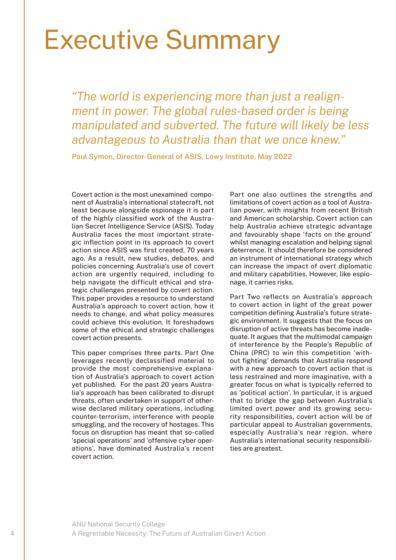### Executive Summary

*"The world is experiencing more than just a realignment in power. The global rules-based order is being manipulated and subverted. The future will likely be less advantageous to Australia than that we once knew."* 

**Paul Symon, Director-General of ASIS, Lowy Institute, May 2022**

Covert action is the most unexamined component of Australia's international statecraft, not least because alongside espionage it is part of the highly classified work of the Australian Secret Intelligence Service (ASIS). Today Australia faces the most important strategic inflection point in its approach to covert action since ASIS was first created, 70 years ago. As a result, new studies, debates, and policies concerning Australia's use of covert action are urgently required, including to help navigate the difficult ethical and strategic challenges presented by covert action. This paper provides a resource to understand Australia's approach to covert action, how it needs to change, and what policy measures could achieve this evolution. It foreshadows some of the ethical and strategic challenges covert action presents.

This paper comprises three parts. Part One leverages recently declassified material to provide the most comprehensive explanation of Australia's approach to covert action yet published. For the past 20 years Australia's approach has been calibrated to disrupt threats, often undertaken in support of otherwise declared military operations, including counter-terrorism, interference with people smuggling, and the recovery of hostages. This focus on disruption has meant that so-called 'special operations' and 'offensive cyber operations', have dominated Australia's recent covert action.

Part one also outlines the strengths and limitations of covert action as a tool of Australian power, with insights from recent British and American scholarship. Covert action can help Australia achieve strategic advantage and favourably shape 'facts on the ground' whilst managing escalation and helping signal deterrence. It should therefore be considered an instrument of international strategy which can increase the impact of overt diplomatic and military capabilities. However, like espionage, it carries risks.

Part Two reflects on Australia's approach to covert action in light of the great power competition defining Australia's future strategic environment. It suggests that the focus on disruption of active threats has become inadequate. It argues that the multimodal campaign of interference by the People's Republic of China (PRC) to win this competition 'without fighting' demands that Australia respond with a new approach to covert action that is less restrained and more imaginative, with a greater focus on what is typically referred to as 'political action'. In particular, it is argued that to bridge the gap between Australia's limited overt power and its growing security responsibilities, covert action will be of particular appeal to Australian governments, especially Australia's near region, where Australia's international security responsibilities are greatest.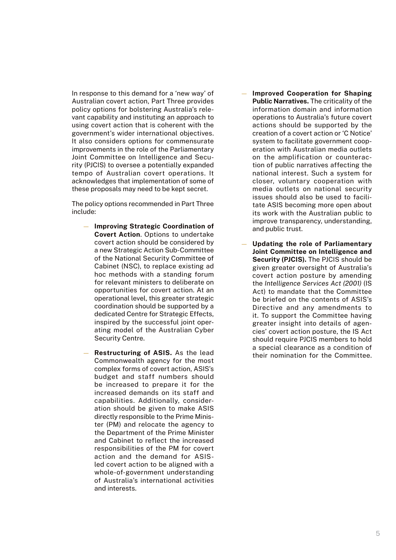In response to this demand for a 'new way' of Australian covert action, Part Three provides policy options for bolstering Australia's relevant capability and instituting an approach to using covert action that is coherent with the government's wider international objectives. It also considers options for commensurate improvements in the role of the Parliamentary Joint Committee on Intelligence and Security (PJCIS) to oversee a potentially expanded tempo of Australian covert operations. It acknowledges that implementation of some of these proposals may need to be kept secret.

The policy options recommended in Part Three include:

- **Improving Strategic Coordination of Covert Action**. Options to undertake covert action should be considered by a new Strategic Action Sub-Committee of the National Security Committee of Cabinet (NSC), to replace existing ad hoc methods with a standing forum for relevant ministers to deliberate on opportunities for covert action. At an operational level, this greater strategic coordination should be supported by a dedicated Centre for Strategic Effects, inspired by the successful joint operating model of the Australian Cyber Security Centre.
- **Restructuring of ASIS.** As the lead Commonwealth agency for the most complex forms of covert action, ASIS's budget and staff numbers should be increased to prepare it for the increased demands on its staff and capabilities. Additionally, consideration should be given to make ASIS directly responsible to the Prime Minister (PM) and relocate the agency to the Department of the Prime Minister and Cabinet to reflect the increased responsibilities of the PM for covert action and the demand for ASISled covert action to be aligned with a whole-of-government understanding of Australia's international activities and interests.
- **Improved Cooperation for Shaping Public Narratives.** The criticality of the information domain and information operations to Australia's future covert actions should be supported by the creation of a covert action or 'C Notice' system to facilitate government cooperation with Australian media outlets on the amplification or counteraction of public narratives affecting the national interest. Such a system for closer, voluntary cooperation with media outlets on national security issues should also be used to facilitate ASIS becoming more open about its work with the Australian public to improve transparency, understanding, and public trust.
- **Updating the role of Parliamentary Joint Committee on Intelligence and Security (PJCIS).** The PJCIS should be given greater oversight of Australia's covert action posture by amending the *Intelligence Services Act (2001)* (IS Act) to mandate that the Committee be briefed on the contents of ASIS's Directive and any amendments to it. To support the Committee having greater insight into details of agencies' covert action posture, the IS Act should require PJCIS members to hold a special clearance as a condition of their nomination for the Committee.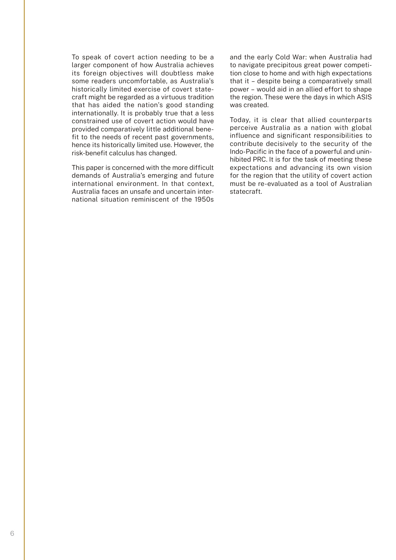To speak of covert action needing to be a larger component of how Australia achieves its foreign objectives will doubtless make some readers uncomfortable, as Australia's historically limited exercise of covert statecraft might be regarded as a virtuous tradition that has aided the nation's good standing internationally. It is probably true that a less constrained use of covert action would have provided comparatively little additional benefit to the needs of recent past governments, hence its historically limited use. However, the risk-benefit calculus has changed.

This paper is concerned with the more difficult demands of Australia's emerging and future international environment. In that context, Australia faces an unsafe and uncertain international situation reminiscent of the 1950s

and the early Cold War: when Australia had to navigate precipitous great power competition close to home and with high expectations that it – despite being a comparatively small power – would aid in an allied effort to shape the region. These were the days in which ASIS was created.

Today, it is clear that allied counterparts perceive Australia as a nation with global influence and significant responsibilities to contribute decisively to the security of the Indo-Pacific in the face of a powerful and uninhibited PRC. It is for the task of meeting these expectations and advancing its own vision for the region that the utility of covert action must be re-evaluated as a tool of Australian statecraft.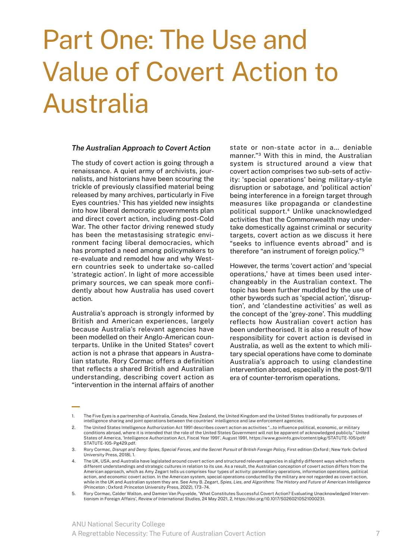### Part One: The Use and Value of Covert Action to Australia

#### *The Australian Approach to Covert Action*

The study of covert action is going through a renaissance. A quiet army of archivists, journalists, and historians have been scouring the trickle of previously classified material being released by many archives, particularly in Five Eyes countries.<sup>1</sup> This has yielded new insights into how liberal democratic governments plan and direct covert action, including post-Cold War. The other factor driving renewed study has been the metastasising strategic environment facing liberal democracies, which has prompted a need among policymakers to re-evaluate and remodel how and why Western countries seek to undertake so-called 'strategic action'. In light of more accessible primary sources, we can speak more confidently about how Australia has used covert action.

Australia's approach is strongly informed by British and American experiences, largely because Australia's relevant agencies have been modelled on their Anglo-American counterparts. Unlike in the United States<sup>2</sup> covert action is not a phrase that appears in Australian statute. Rory Cormac offers a definition that reflects a shared British and Australian understanding, describing covert action as "intervention in the internal affairs of another

state or non-state actor in a… deniable manner."3 With this in mind, the Australian system is structured around a view that covert action comprises two sub-sets of activity: 'special operations' being military-style disruption or sabotage, and 'political action' being interference in a foreign target through measures like propaganda or clandestine political support.4 Unlike unacknowledged activities that the Commonwealth may undertake domestically against criminal or security targets, covert action as we discuss it here "seeks to influence events abroad" and is therefore "an instrument of foreign policy."5

However, the terms 'covert action' and 'special operations,' have at times been used interchangeably in the Australian context. The topic has been further muddled by the use of other bywords such as 'special action', 'disruption', and 'clandestine activities' as well as the concept of the 'grey-zone'. This muddling reflects how Australian covert action has been undertheorised. It is also a result of how responsibility for covert action is devised in Australia, as well as the extent to which military special operations have come to dominate Australia's approach to using clandestine intervention abroad, especially in the post-9/11 era of counter-terrorism operations.

The Five Eyes is a partnership of Australia, Canada, New Zealand, the United Kingdom and the United States traditionally for purposes of intelligence sharing and joint operations between the countries' intelligence and law enforcement agencies.

<sup>2.</sup> The United States Intelligence Authorization Act 1991 describes covert action as activities "…to influence political, economic, or military conditions abroad, where it is intended that the role of the United States Government will not be apparent of acknowledged publicly." United States of America, 'Intelligence Authorization Act, Fiscal Year 1991', August 1991, https://www.govinfo.gov/content/pkg/STATUTE-105/pdf/ STATUTE-105-Pg429.pdf.

<sup>3.</sup> Rory Cormac, *Disrupt and Deny: Spies, Special Forces, and the Secret Pursuit of British Foreign Policy*, First edition (Oxford ; New York: Oxford University Press, 2018), 1.

<sup>4.</sup> The UK, USA, and Australia have legislated around covert action and structured relevant agencies in slightly different ways which reflects different understandings and strategic cultures in relation to its use. As a result, the Australian conception of covert action differs from the American approach, which as Amy Zegart tells us comprises four types of activity: paramilitary operations, information operations, political action, and economic covert action. In the American system, special operations conducted by the military are not regarded as covert action, while in the UK and Australian system they are. See Amy B. Zegart, *Spies, Lies, and Algorithms: The History and Future of American Intelligence*  (Princeton ; Oxford: Princeton University Press, 2022), 173–74.

<sup>5.</sup> Rory Cormac, Calder Walton, and Damien Van Puyvelde, 'What Constitutes Successful Covert Action? Evaluating Unacknowledged Interventionism in Foreign Affairs', *Review of International Studies*, 24 May 2021, 2, https://doi.org/10.1017/S0260210521000231.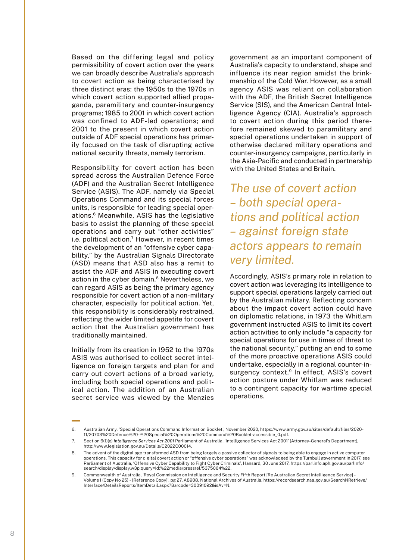Based on the differing legal and policy permissibility of covert action over the years we can broadly describe Australia's approach to covert action as being characterised by three distinct eras: the 1950s to the 1970s in which covert action supported allied propaganda, paramilitary and counter-insurgency programs; 1985 to 2001 in which covert action was confined to ADF-led operations; and 2001 to the present in which covert action outside of ADF special operations has primarily focused on the task of disrupting active national security threats, namely terrorism.

Responsibility for covert action has been spread across the Australian Defence Force (ADF) and the Australian Secret Intelligence Service (ASIS). The ADF, namely via Special Operations Command and its special forces units, is responsible for leading special operations.6 Meanwhile, ASIS has the legislative basis to assist the planning of these special operations and carry out "other activities" i.e. political action.<sup>7</sup> However, in recent times the development of an "offensive cyber capability," by the Australian Signals Directorate (ASD) means that ASD also has a remit to assist the ADF and ASIS in executing covert action in the cyber domain.<sup>8</sup> Nevertheless, we can regard ASIS as being the primary agency responsible for covert action of a non-military character, especially for political action. Yet, this responsibility is considerably restrained, reflecting the wider limited appetite for covert action that the Australian government has traditionally maintained.

Initially from its creation in 1952 to the 1970s ASIS was authorised to collect secret intelligence on foreign targets and plan for and carry out covert actions of a broad variety, including both special operations and political action. The addition of an Australian secret service was viewed by the Menzies

government as an important component of Australia's capacity to understand, shape and influence its near region amidst the brinkmanship of the Cold War. However, as a small agency ASIS was reliant on collaboration with the ADF, the British Secret Intelligence Service (SIS), and the American Central Intelligence Agency (CIA). Australia's approach to covert action during this period therefore remained skewed to paramilitary and special operations undertaken in support of otherwise declared military operations and counter-insurgency campaigns, particularly in the Asia-Pacific and conducted in partnership with the United States and Britain.

*The use of covert action – both special operations and political action – against foreign state actors appears to remain very limited.*

Accordingly, ASIS's primary role in relation to covert action was leveraging its intelligence to support special operations largely carried out by the Australian military. Reflecting concern about the impact covert action could have on diplomatic relations, in 1973 the Whitlam government instructed ASIS to limit its covert action activities to only include "a capacity for special operations for use in times of threat to the national security," putting an end to some of the more proactive operations ASIS could undertake, especially in a regional counter-insurgency context.<sup>9</sup> In effect, ASIS's covert action posture under Whitlam was reduced to a contingent capacity for wartime special operations.

<sup>6.</sup> Australian Army, 'Special Operations Command Information Booklet', November 2020, https://www.army.gov.au/sites/default/files/2020- 11/20703%20Defence%20-%20Special%20Operations%20Command%20Booklet-accessible\_0.pdf.

<sup>7.</sup> Section 6(1)(e) *Intelligence Services Act 2001* Parliament of Australia, 'Intelligence Services Act 2001' (Attorney-General's Department), http://www.legislation.gov.au/Details/C2022C00014.

<sup>8.</sup> The advent of the digital age transformed ASD from being largely a passive collector of signals to being able to engage in active computer operations. This capacity for digital covert action or "offensive cyber operations" was acknowledged by the Turnbull government in 2017, see<br>Parliament of Australia, 'Offensive Cyber Capability to Fight Cyber Criminals', H search/display/display.w3p;query=Id:%22media/pressrel/5375064%22.

<sup>9.</sup> Commonwealth of Australia, 'Royal Commission on Intelligence and Security Fifth Report [Re Australian Secret Intelligence Service] - Volume I (Copy No 25) - [Reference Copy]', pg 27, A8908, National Archives of Australia, https://recordsearch.naa.gov.au/SearchNRetrieve/ Interface/DetailsReports/ItemDetail.aspx?Barcode=30091092&isAv=N.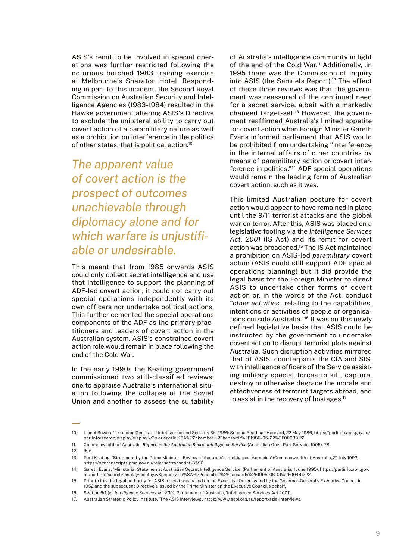ASIS's remit to be involved in special operations was further restricted following the notorious botched 1983 training exercise at Melbourne's Sheraton Hotel. Responding in part to this incident, the Second Royal Commission on Australian Security and Intelligence Agencies (1983-1984) resulted in the Hawke government altering ASIS's Directive to exclude the unilateral ability to carry out covert action of a paramilitary nature as well as a prohibition on interference in the politics of other states, that is political action.10

*The apparent value of covert action is the prospect of outcomes unachievable through diplomacy alone and for which warfare is unjustifiable or undesirable.*

This meant that from 1985 onwards ASIS could only collect secret intelligence and use that intelligence to support the planning of ADF-led covert action; it could not carry out special operations independently with its own officers nor undertake political actions. This further cemented the special operations components of the ADF as the primary practitioners and leaders of covert action in the Australian system. ASIS's constrained covert action role would remain in place following the end of the Cold War.

In the early 1990s the Keating government commissioned two still-classified reviews; one to appraise Australia's international situation following the collapse of the Soviet Union and another to assess the suitability of Australia's intelligence community in light of the end of the Cold War.<sup>11</sup> Additionally, .in 1995 there was the Commission of Inquiry into ASIS (the Samuels Report).<sup>12</sup> The effect of these three reviews was that the government was reassured of the continued need for a secret service, albeit with a markedly changed target-set.13 However, the government reaffirmed Australia's limited appetite for covert action when Foreign Minister Gareth Evans informed parliament that ASIS would be prohibited from undertaking "interference in the internal affairs of other countries by means of paramilitary action or covert interference in politics."14 ADF special operations would remain the leading form of Australian covert action, such as it was.

This limited Australian posture for covert action would appear to have remained in place until the 9/11 terrorist attacks and the global war on terror. After this, ASIS was placed on a legislative footing via the *Intelligence Services Act, 2001* (IS Act) and its remit for covert action was broadened.15 The IS Act maintained a prohibition on ASIS-led *paramilitary* covert action (ASIS could still support ADF special operations planning) but it did provide the legal basis for the Foreign Minister to direct ASIS to undertake other forms of covert action or, in the words of the Act, conduct *"other activities*…relating to the capabilities, intentions or activities of people or organisations outside Australia.*"*16 It was on this newly defined legislative basis that ASIS could be instructed by the government to undertake covert action to disrupt terrorist plots against Australia. Such disruption activities mirrored that of ASIS' counterparts the CIA and SIS, with intelligence officers of the Service assisting military special forces to kill, capture, destroy or otherwise degrade the morale and effectiveness of terrorist targets abroad, and to assist in the recovery of hostages.<sup>17</sup>

<sup>10.</sup> Lionel Bowen, 'Inspector-General of Intelligence and Security Bill 1986: Second Reading', Hansard, 22 May 1986, https://parlinfo.aph.gov.au/ parlInfo/search/display/display.w3p;query=Id%3A%22chamber%2Fhansardr%2F1986-05-22%2F0003%22.

<sup>11.</sup> Commonwealth of Australia, *Report on the Australian Secret Intelligence Service* (Australian Govt. Pub. Service, 1995), 78.

<sup>12.</sup> Ibid.

<sup>13.</sup> Paul Keating, 'Statement by the Prime Minister - Review of Australia's Intelligence Agencies' (Commonwealth of Australia, 21 July 1992), https://pmtranscripts.pmc.gov.au/release/transcript-8590.

<sup>14.</sup> Gareth Evans, 'Ministerial Statements: Australian Secret Intelligence Service' (Parliament of Australia, 1 June 1995), https://parlinfo.aph.gov. au/parlInfo/search/display/display.w3p;query=Id%3A%22chamber%2Fhansards%2F1995-06-01%2F0044%22.

<sup>15.</sup> Prior to this the legal authority for ASIS to exist was based on the Executive Order issued by the Governor-General's Executive Council in 1952 and the subsequent Directive's issued by the Prime Minister on the Executive Council's behalf.

<sup>16.</sup> Section 6(1)(e), *Intelligence Services Act 2001,* Parliament of Australia, 'Intelligence Services Act 2001'.

<sup>17.</sup> Australian Strategic Policy Institute, 'The ASIS Interviews', https://www.aspi.org.au/report/asis-interviews.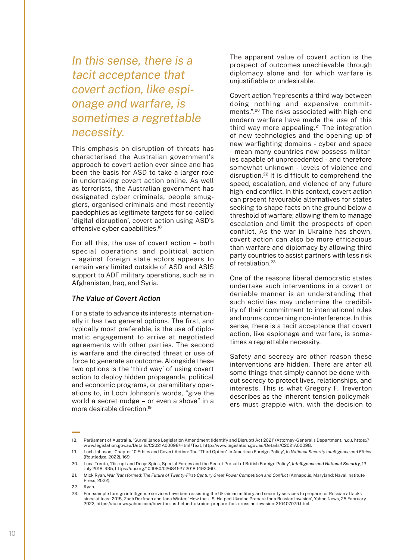*In this sense, there is a tacit acceptance that covert action, like espionage and warfare, is sometimes a regrettable necessity.*

This emphasis on disruption of threats has characterised the Australian government's approach to covert action ever since and has been the basis for ASD to take a larger role in undertaking covert action online. As well as terrorists, the Australian government has designated cyber criminals, people smugglers, organised criminals and most recently paedophiles as legitimate targets for so-called 'digital disruption', covert action using ASD's offensive cyber capabilities.18

For all this, the use of covert action – both special operations and political action – against foreign state actors appears to remain very limited outside of ASD and ASIS support to ADF military operations, such as in Afghanistan, Iraq, and Syria.

#### *The Value of Covert Action*

For a state to advance its interests internationally it has two general options. The first, and typically most preferable, is the use of diplomatic engagement to arrive at negotiated agreements with other parties. The second is warfare and the directed threat or use of force to generate an outcome. Alongside these two options is the 'third way' of using covert action to deploy hidden propaganda, political and economic programs, or paramilitary operations to, in Loch Johnson's words, "give the world a secret nudge – or even a shove" in a more desirable direction.19

The apparent value of covert action is the prospect of outcomes unachievable through diplomacy alone and for which warfare is unjustifiable or undesirable.

Covert action "represents a third way between doing nothing and expensive commitments,".20 The risks associated with high-end modern warfare have made the use of this third way more appealing.<sup>21</sup> The integration of new technologies and the opening up of new warfighting domains - cyber and space - mean many countries now possess militaries capable of unprecedented - and therefore somewhat unknown - levels of violence and disruption.22 It is difficult to comprehend the speed, escalation, and violence of any future high-end conflict. In this context, covert action can present favourable alternatives for states seeking to shape facts on the ground below a threshold of warfare; allowing them to manage escalation and limit the prospects of open conflict. As the war in Ukraine has shown, covert action can also be more efficacious than warfare and diplomacy by allowing third party countries to assist partners with less risk of retaliation.23

One of the reasons liberal democratic states undertake such interventions in a covert or deniable manner is an understanding that such activities may undermine the credibility of their commitment to international rules and norms concerning non-interference. In this sense, there is a tacit acceptance that covert action, like espionage and warfare, is sometimes a regrettable necessity.

Safety and secrecy are other reason these interventions are hidden. There are after all some things that simply cannot be done without secrecy to protect lives, relationships, and interests. This is what Gregory F. Treverton describes as the inherent tension policymakers must grapple with, with the decision to

<sup>18.</sup> Parliament of Australia, 'Surveillance Legislation Amendment (Identify and Disrupt) Act 2021' (Attorney-General's Department, n.d.), https:// www.legislation.gov.au/Details/C2021A00098/Html/Text, http://www.legislation.gov.au/Details/C2021A00098.

<sup>19.</sup> Loch Johnson, 'Chapter 10 Ethics and Covert Action: The "Third Option" in American Foreign Policy', in *National Security Intelligence and Ethics* (Routledge, 2022), 169.

<sup>20.</sup> Luca Trenta, 'Disrupt and Deny: Spies, Special Forces and the Secret Pursuit of British Foreign Policy', *Intelligence and National Security*, 13 July 2018, 935, https://doi.org/10.1080/02684527.2018.1492060.

<sup>21.</sup> Mick Ryan, *War Transformed: The Future of Twenty-First-Century Great Power Competition and Conflict* (Annapolis, Maryland: Naval Institute Press, 2022).

<sup>22.</sup> Ryan.

<sup>23.</sup> For example foreign intelligence services have been assisting the Ukrainian military and security services to prepare for Russian attacks since at least 2015, Zach Dorfman and Jana Winter, 'How the U.S. Helped Ukraine Prepare for a Russian Invasion', Yahoo News, 25 February 2022, https://au.news.yahoo.com/how-the-us-helped-ukraine-prepare-for-a-russian-invasion-210407079.html.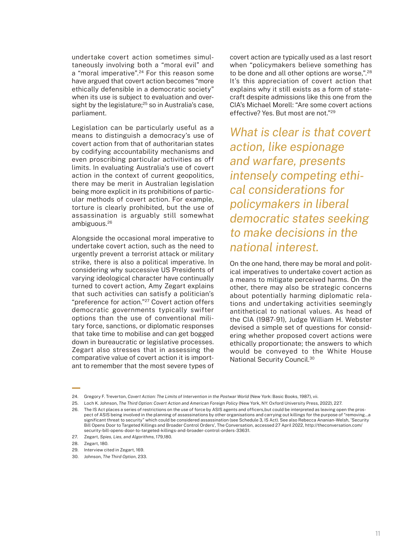undertake covert action sometimes simultaneously involving both a "moral evil" and a "moral imperative".<sup>24</sup> For this reason some have argued that covert action becomes "more ethically defensible in a democratic society" when its use is subject to evaluation and oversight by the legislature;<sup>25</sup> so in Australia's case, parliament.

Legislation can be particularly useful as a means to distinguish a democracy's use of covert action from that of authoritarian states by codifying accountability mechanisms and even proscribing particular activities as off limits. In evaluating Australia's use of covert action in the context of current geopolitics, there may be merit in Australian legislation being more explicit in its prohibitions of particular methods of covert action. For example, torture is clearly prohibited, but the use of assassination is arguably still somewhat ambiguous.26

Alongside the occasional moral imperative to undertake covert action, such as the need to urgently prevent a terrorist attack or military strike, there is also a political imperative. In considering why successive US Presidents of varying ideological character have continually turned to covert action, Amy Zegart explains that such activities can satisfy a politician's "preference for action."27 Covert action offers democratic governments typically swifter options than the use of conventional military force, sanctions, or diplomatic responses that take time to mobilise and can get bogged down in bureaucratic or legislative processes. Zegart also stresses that in assessing the comparative value of covert action it is important to remember that the most severe types of

covert action are typically used as a last resort when "policymakers believe something has to be done and all other options are worse,".28 It's this appreciation of covert action that explains why it still exists as a form of statecraft despite admissions like this one from the CIA's Michael Morell: "Are some covert actions effective? Yes. But most are not."29

*What is clear is that covert action, like espionage and warfare, presents intensely competing ethical considerations for policymakers in liberal democratic states seeking to make decisions in the national interest.*

On the one hand, there may be moral and political imperatives to undertake covert action as a means to mitigate perceived harms. On the other, there may also be strategic concerns about potentially harming diplomatic relations and undertaking activities seemingly antithetical to national values. As head of the CIA (1987-91), Judge William H. Webster devised a simple set of questions for considering whether proposed covert actions were ethically proportionate; the answers to which would be conveyed to the White House National Security Council.30

<sup>24.</sup> Gregory F. Treverton, *Covert Action: The Limits of Intervention in the Postwar World* (New York: Basic Books, 1987), vii.

<sup>25.</sup> Loch K. Johnson, *The Third Option: Covert Action and American Foreign Policy* (New York, NY: Oxford University Press, 2022), 227.

<sup>26.</sup> The IS Act places a series of restrictions on the use of force by ASIS agents and officers,but could be interpreted as leaving open the prospect of ASIS being involved in the planning of assassinations by other organisations and carrying out killings for the purpose of "removing…a significant threat to security" which could be considered assassination (see Schedule 3, IS Act). See also Rebecca Ananian-Welsh, 'Security Bill Opens Door to Targeted Killings and Broader Control Orders', The Conversation, accessed 27 April 2022, http://theconversation.com/ security-bill-opens-door-to-targeted-killings-and-broader-control-orders-33631.

<sup>27.</sup> Zegart, *Spies, Lies, and Algorithms*, 179,180.

<sup>28.</sup> Zegart, 180.

<sup>29.</sup> Interview cited in Zegart, 169.

<sup>30.</sup> Johnson, *The Third Option,* 233.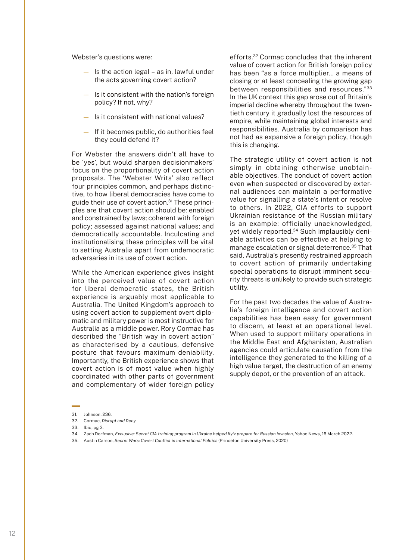Webster's questions were:

- Is the action legal as in, lawful under the acts governing covert action?
- Is it consistent with the nation's foreign policy? If not, why?
- Is it consistent with national values?
- If it becomes public, do authorities feel they could defend it?

For Webster the answers didn't all have to be 'yes', but would sharpen decisionmakers' focus on the proportionality of covert action proposals. The 'Webster Writs' also reflect four principles common, and perhaps distinctive, to how liberal democracies have come to guide their use of covert action.31 These principles are that covert action should be: enabled and constrained by laws; coherent with foreign policy; assessed against national values; and democratically accountable. Inculcating and institutionalising these principles will be vital to setting Australia apart from undemocratic adversaries in its use of covert action.

While the American experience gives insight into the perceived value of covert action for liberal democratic states, the British experience is arguably most applicable to Australia. The United Kingdom's approach to using covert action to supplement overt diplomatic and military power is most instructive for Australia as a middle power. Rory Cormac has described the "British way in covert action" as characterised by a cautious, defensive posture that favours maximum deniability. Importantly, the British experience shows that covert action is of most value when highly coordinated with other parts of government and complementary of wider foreign policy

efforts.32 Cormac concludes that the inherent value of covert action for British foreign policy has been "as a force multiplier… a means of closing or at least concealing the growing gap between responsibilities and resources."33 In the UK context this gap arose out of Britain's imperial decline whereby throughout the twentieth century it gradually lost the resources of empire, while maintaining global interests and responsibilities. Australia by comparison has not had as expansive a foreign policy, though this is changing.

The strategic utility of covert action is not simply in obtaining otherwise unobtainable objectives. The conduct of covert action even when suspected or discovered by external audiences can maintain a performative value for signalling a state's intent or resolve to others. In 2022, CIA efforts to support Ukrainian resistance of the Russian military is an example: officially unacknowledged, yet widely reported.<sup>34</sup> Such implausibly deniable activities can be effective at helping to manage escalation or signal deterrence.35 That said, Australia's presently restrained approach to covert action of primarily undertaking special operations to disrupt imminent security threats is unlikely to provide such strategic utility.

For the past two decades the value of Australia's foreign intelligence and covert action capabilities has been easy for government to discern, at least at an operational level. When used to support military operations in the Middle East and Afghanistan, Australian agencies could articulate causation from the intelligence they generated to the killing of a high value target, the destruction of an enemy supply depot, or the prevention of an attack.

32. Cormac, *Disrupt and Deny*.

35. Austin Carson, *Secret Wars: Covert Conflict in International Politics* (Princeton University Press, 2020)

<sup>31.</sup> Johnson, 236.

<sup>33.</sup> Ibid, pg 3.

<sup>34.</sup> Zach Dorfman, *Exclusive: Secret CIA training program in Ukraine helped Kyiv prepare for Russian invasion,* Yahoo News, 16 March 2022.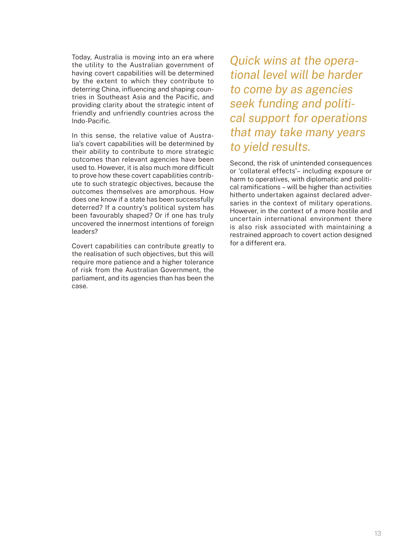Today, Australia is moving into an era where the utility to the Australian government of having covert capabilities will be determined by the extent to which they contribute to deterring China, influencing and shaping countries in Southeast Asia and the Pacific, and providing clarity about the strategic intent of friendly and unfriendly countries across the Indo-Pacific.

In this sense, the relative value of Australia's covert capabilities will be determined by their ability to contribute to more strategic outcomes than relevant agencies have been used to. However, it is also much more difficult to prove how these covert capabilities contribute to such strategic objectives, because the outcomes themselves are amorphous. How does one know if a state has been successfully deterred? If a country's political system has been favourably shaped? Or if one has truly uncovered the innermost intentions of foreign leaders?

Covert capabilities can contribute greatly to the realisation of such objectives, but this will require more patience and a higher tolerance of risk from the Australian Government, the parliament, and its agencies than has been the case.

*Quick wins at the operational level will be harder to come by as agencies seek funding and political support for operations that may take many years to yield results.* 

Second, the risk of unintended consequences or 'collateral effects'– including exposure or harm to operatives, with diplomatic and political ramifications – will be higher than activities hitherto undertaken against declared adversaries in the context of military operations. However, in the context of a more hostile and uncertain international environment there is also risk associated with maintaining a restrained approach to covert action designed for a different era.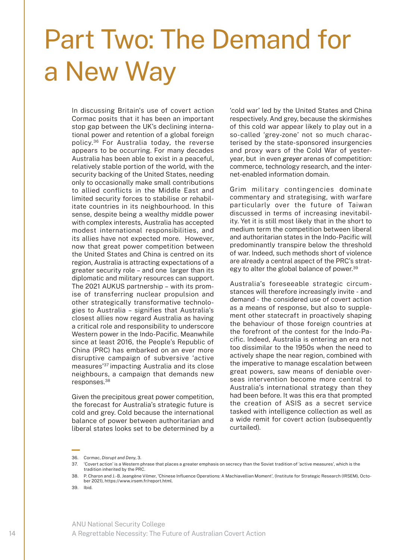### Part Two: The Demand for a New Way

In discussing Britain's use of covert action Cormac posits that it has been an important stop gap between the UK's declining international power and retention of a global foreign policy.36 For Australia today, the reverse appears to be occurring. For many decades Australia has been able to exist in a peaceful, relatively stable portion of the world, with the security backing of the United States, needing only to occasionally make small contributions to allied conflicts in the Middle East and limited security forces to stabilise or rehabilitate countries in its neighbourhood. In this sense, despite being a wealthy middle power with complex interests, Australia has accepted modest international responsibilities, and its allies have not expected more. However, now that great power competition between the United States and China is centred on its region, Australia is attracting expectations of a greater security role – and one larger than its diplomatic and military resources can support. The 2021 AUKUS partnership – with its promise of transferring nuclear propulsion and other strategically transformative technologies to Australia – signifies that Australia's closest allies now regard Australia as having a critical role and responsibility to underscore Western power in the Indo-Pacific. Meanwhile since at least 2016, the People's Republic of China (PRC) has embarked on an ever more disruptive campaign of subversive 'active measures'37 impacting Australia and its close neighbours, a campaign that demands new responses.38

Given the precipitous great power competition, the forecast for Australia's strategic future is cold and grey. Cold because the international balance of power between authoritarian and liberal states looks set to be determined by a

'cold war' led by the United States and China respectively. And grey, because the skirmishes of this cold war appear likely to play out in a so-called 'grey-zone' not so much characterised by the state-sponsored insurgencies and proxy wars of the Cold War of yesteryear, but in even *greyer* arenas of competition: commerce, technology research, and the internet-enabled information domain.

Grim military contingencies dominate commentary and strategising, with warfare particularly over the future of Taiwan discussed in terms of increasing inevitability. Yet it is still most likely that in the short to medium term the competition between liberal and authoritarian states in the Indo-Pacific will predominantly transpire below the threshold of war. Indeed, such methods short of violence are already a central aspect of the PRC's strategy to alter the global balance of power.<sup>39</sup>

Australia's foreseeable strategic circumstances will therefore increasingly invite - and demand - the considered use of covert action as a means of response, but also to supplement other statecraft in proactively shaping the behaviour of those foreign countries at the forefront of the contest for the Indo-Pacific. Indeed, Australia is entering an era not too dissimilar to the 1950s when the need to actively shape the near region, combined with the imperative to manage escalation between great powers, saw means of deniable overseas intervention become more central to Australia's international strategy than they had been before. It was this era that prompted the creation of ASIS as a secret service tasked with intelligence collection as well as a wide remit for covert action (subsequently curtailed).

<sup>36.</sup> Cormac, *Disrupt and Deny*, 3.

<sup>37.</sup> 'Covert action' is a Western phrase that places a greater emphasis on secrecy than the Soviet tradition of 'active measures', which is the tradition inherited by the PRC.

<sup>38.</sup> P. Charon and J.-B. Jeangène Vilmer, 'Chinese Influence Operations: A Machiavellian Moment', (Institute for Strategic Research (IRSEM), October 2021), https://www.irsem.fr/report.html.

<sup>39.</sup> Ibid.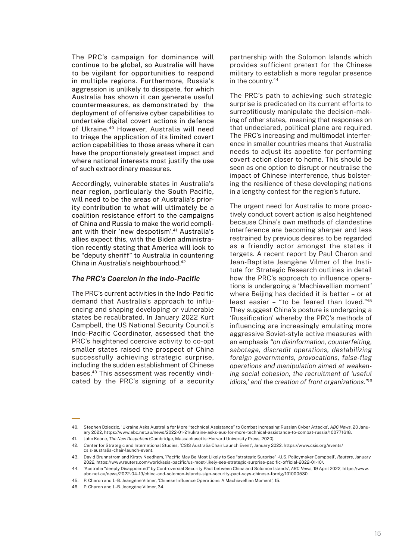The PRC's campaign for dominance will continue to be global, so Australia will have to be vigilant for opportunities to respond in multiple regions. Furthermore, Russia's aggression is unlikely to dissipate, for which Australia has shown it can generate useful countermeasures, as demonstrated by the deployment of offensive cyber capabilities to undertake digital covert actions in defence of Ukraine.40 However, Australia will need to triage the application of its limited covert action capabilities to those areas where it can have the proportionately greatest impact and where national interests most justify the use of such extraordinary measures.

Accordingly, vulnerable states in Australia's near region, particularly the South Pacific, will need to be the areas of Australia's priority contribution to what will ultimately be a coalition resistance effort to the campaigns of China and Russia to make the world compliant with their 'new despotism'.41 Australia's allies expect this, with the Biden administration recently stating that America will look to be "deputy sheriff" to Australia in countering China in Australia's neighbourhood.42

#### *The PRC's Coercion in the Indo-Pacific*

The PRC's current activities in the Indo-Pacific demand that Australia's approach to influencing and shaping developing or vulnerable states be recalibrated. In January 2022 Kurt Campbell, the US National Security Council's Indo-Pacific Coordinator, assessed that the PRC's heightened coercive activity to co-opt smaller states raised the prospect of China successfully achieving strategic surprise, including the sudden establishment of Chinese bases.43 This assessment was recently vindicated by the PRC's signing of a security

partnership with the Solomon Islands which provides sufficient pretext for the Chinese military to establish a more regular presence in the country.44

The PRC's path to achieving such strategic surprise is predicated on its current efforts to surreptitiously manipulate the decision-making of other states, meaning that responses on that undeclared, political plane are required. The PRC's increasing and multimodal interference in smaller countries means that Australia needs to adjust its appetite for performing covert action closer to home. This should be seen as one option to disrupt or neutralise the impact of Chinese interference, thus bolstering the resilience of these developing nations in a lengthy contest for the region's future.

The urgent need for Australia to more proactively conduct covert action is also heightened because China's own methods of clandestine interference are becoming sharper and less restrained by previous desires to be regarded as a friendly actor amongst the states it targets. A recent report by Paul Charon and Jean-Baptiste Jeangène Vilmer of the Institute for Strategic Research outlines in detail how the PRC's approach to influence operations is undergoing a 'Machiavellian moment' where Beijing has decided it is better – or at least easier – "to be feared than loved."45 They suggest China's posture is undergoing a 'Russification' whereby the PRC's methods of influencing are increasingly emulating more aggressive Soviet-style active measures with an emphasis *"on disinformation, counterfeiting, sabotage, discredit operations, destabilizing foreign governments, provocations, false-flag operations and manipulation aimed at weakening social cohesion, the recruitment of 'useful idiots,' and the creation of front organizations."46*

<sup>40.</sup> Stephen Dziedzic, 'Ukraine Asks Australia for More "technical Assistance" to Combat Increasing Russian Cyber Attacks', *ABC News,* 20 January 2022, https://www.abc.net.au/news/2022-01-21/ukraine-asks-aus-for-more-technical-assistance-to-combat-russia/100771618.

<sup>41.</sup> John Keane, *The New Despotism* (Cambridge, Massachusetts: Harvard University Press, 2020).

<sup>42.</sup> Center for Strategic and International Studies, 'CSIS Australia Chair Launch Event', January 2022, https://www.csis.org/events/ csis-australia-chair-launch-event.

<sup>43.</sup> David Brunnstrom and Kirsty Needham, 'Pacific May Be Most Likely to See "strategic Surprise" -U.S. Policymaker Campbell', *Reuters*, January 2022, https://www.reuters.com/world/asia-pacific/us-most-likely-see-strategic-surprise-pacific-official-2022-01-10/.

<sup>44.</sup> 'Australia "deeply Disappointed" by Controversial Security Pact between China and Solomon Islands', *ABC News*, 19 April 2022, https://www. abc.net.au/news/2022-04-19/china-and-solomon-islands-sign-security-pact-says-chinese-foreig/101000530.

<sup>45.</sup> P. Charon and J.-B. Jeangène Vilmer, 'Chinese Influence Operations: A Machiavellian Moment', 15.

<sup>46.</sup> P. Charon and J.-B. Jeangène Vilmer, 34.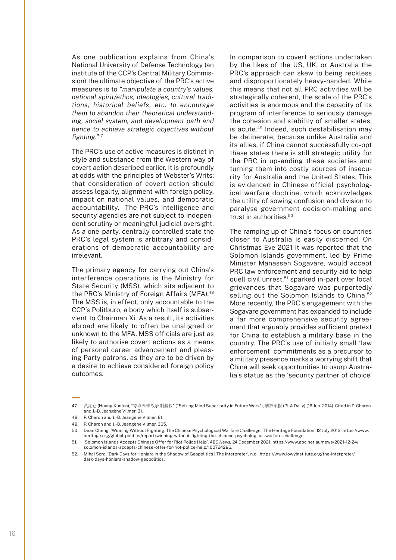As one publication explains from China's National University of Defense Technology (an institute of the CCP's Central Military Commission) the ultimate objective of the PRC's active measures is to *"manipulate a country's values, national spirit/ethos, ideologies, cultural traditions, historical beliefs, etc. to encourage them to abandon their theoretical understanding, social system, and development path and hence to achieve strategic objectives without fighting."<sup>47</sup>*

The PRC's use of active measures is distinct in style and substance from the Western way of covert action described earlier. It is profoundly at odds with the principles of Webster's Writs: that consideration of covert action should assess legality, alignment with foreign policy, impact on national values, and democratic accountability. The PRC's intelligence and security agencies are not subject to independent scrutiny or meaningful judicial oversight. As a one-party, centrally controlled state the PRC's legal system is arbitrary and considerations of democratic accountability are irrelevant.

The primary agency for carrying out China's interference operations is the Ministry for State Security (MSS), which sits adjacent to the PRC's Ministry of Foreign Affairs (MFA).<sup>48</sup> The MSS is, in effect, only accountable to the CCP's Politburo, a body which itself is subservient to Chairman Xi. As a result, its activities abroad are likely to often be unaligned or unknown to the MFA. MSS officials are just as likely to authorise covert actions as a means of personal career advancement and pleasing Party patrons, as they are to be driven by a desire to achieve considered foreign policy outcomes.

In comparison to covert actions undertaken by the likes of the US, UK, or Australia the PRC's approach can skew to being reckless and disproportionately heavy-handed. While this means that not all PRC activities will be strategically coherent, the scale of the PRC's activities is enormous and the capacity of its program of interference to seriously damage the cohesion and stability of smaller states, is acute.49 Indeed, such destabilisation may be deliberate, because unlike Australia and its allies, if China cannot successfully co-opt these states there is still strategic utility for the PRC in up-ending these societies and turning them into costly sources of insecurity for Australia and the United States. This is evidenced in Chinese official psychological warfare doctrine, which acknowledges the utility of sowing confusion and division to paralyse government decision-making and trust in authorities.<sup>50</sup>

The ramping up of China's focus on countries closer to Australia is easily discerned. On Christmas Eve 2021 it was reported that the Solomon Islands government, led by Prime Minister Manasseh Sogavare, would accept PRC law enforcement and security aid to help quell civil unrest,<sup>51</sup> sparked in-part over local grievances that Sogavare was purportedly selling out the Solomon Islands to China.<sup>52</sup> More recently, the PRC's engagement with the Sogavare government has expanded to include a far more comprehensive security agreement that arguably provides sufficient pretext for China to establish a military base in the country. The PRC's use of initially small 'law enforcement' commitments as a precursor to a military presence marks a worrying shift that China will seek opportunities to usurp Australia's status as the 'security partner of choice'

<sup>47.</sup> 黄昆仑 (Huang Kunlun), "夺取未来战争 制脑权" ("Seizing Mind Superiority in Future Wars"), 解放军报 (PLA Daily) (16 Jun. 2014). Cited in P. Charon and J.-B. Jeangène Vilmer, 31.

<sup>48.</sup> P. Charon and J.-B. Jeangène Vilmer, 81.

<sup>49.</sup> P. Charon and J.-B. Jeangène Vilmer, 365.

<sup>50.</sup> Dean Cheng, 'Winning Without Fighting: The Chinese Psychological Warfare Challenge', The Heritage Foundation, 12 July 2013, https://www. heritage.org/global-politics/report/winning-without-fighting-the-chinese-psychological-warfare-challenge.

<sup>51.</sup> 'Solomon Islands Accepts Chinese Offer for Riot Police Help', *ABC News,* 24 December 2021, https://www.abc.net.au/news/2021-12-24/ solomon-islands-accepts-chinese-offer-for-riot-police-help/100724296.

<sup>52.</sup> Mihai Sora, 'Dark Days for Honiara in the Shadow of Geopolitics | The Interpreter', n.d., https://www.lowyinstitute.org/the-interpreter/ dark-days-honiara-shadow-geopolitics.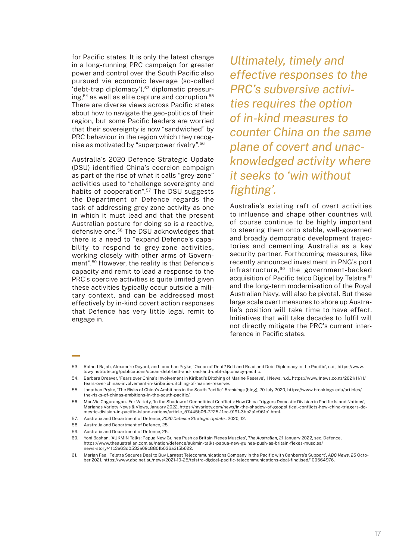for Pacific states. It is only the latest change in a long-running PRC campaign for greater power and control over the South Pacific also pursued via economic leverage (so-called 'debt-trap diplomacy'),53 diplomatic pressuring,<sup>54</sup> as well as elite capture and corruption.<sup>55</sup> There are diverse views across Pacific states about how to navigate the geo-politics of their region, but some Pacific leaders are worried that their sovereignty is now "sandwiched" by PRC behaviour in the region which they recognise as motivated by "superpower rivalry".56

Australia's 2020 Defence Strategic Update (DSU) identified China's coercion campaign as part of the rise of what it calls "grey-zone" activities used to "challenge sovereignty and habits of cooperation".57 The DSU suggests the Department of Defence regards the task of addressing grey-zone activity as one in which it must lead and that the present Australian posture for doing so is a reactive, defensive one.58 The DSU acknowledges that there is a need to "expand Defence's capability to respond to grey-zone activities, working closely with other arms of Government".59 However, the reality is that Defence's capacity and remit to lead a response to the PRC's coercive activities is quite limited given these activities typically occur outside a military context, and can be addressed most effectively by in-kind covert action responses that Defence has very little legal remit to engage in.

*Ultimately, timely and effective responses to the PRC's subversive activities requires the option of in-kind measures to counter China on the same plane of covert and unacknowledged activity where it seeks to 'win without fighting'.*

Australia's existing raft of overt activities to influence and shape other countries will of course continue to be highly important to steering them onto stable, well-governed and broadly democratic development trajectories and cementing Australia as a key security partner. Forthcoming measures, like recently announced investment in PNG's port infrastructure,60 the government-backed acquisition of Pacific telco Digicel by Telstra.<sup>61</sup> and the long-term modernisation of the Royal Australian Navy, will also be pivotal. But these large scale overt measures to shore up Australia's position will take time to have effect. Initiatives that will take decades to fulfil will not directly mitigate the PRC's current interference in Pacific states.

<sup>53.</sup> Roland Rajah, Alexandre Dayant, and Jonathan Pryke, 'Ocean of Debt? Belt and Road and Debt Diplomacy in the Pacific', n.d., https://www. lowyinstitute.org/publications/ocean-debt-belt-and-road-and-debt-diplomacy-pacific.

<sup>54.</sup> Barbara Dreaver, 'Fears over China's Involvement in Kiribati's Ditching of Marine Reserve', 1 News, n.d., https://www.1news.co.nz/2021/11/11/ fears-over-chinas-involvement-in-kiribatis-ditching-of-marine-reserve/.

<sup>55.</sup> Jonathan Pryke, 'The Risks of China's Ambitions in the South Pacific', *Brookings* (blog), 20 July 2020, https://www.brookings.edu/articles/ the-risks-of-chinas-ambitions-in-the-south-pacific/.

<sup>56.</sup> Mar-Vic Cagurangan- For Variety, 'In the Shadow of Geopolitical Conflicts: How China Triggers Domestic Division in Pacific Island Nations', Marianas Variety News & Views, January 2022, https://mvariety.com/news/in-the-shadow-of-geopolitical-conflicts-how-china-triggers-domestic-division-in-pacific-island-nations/article\_57445b06-7225-11ec-9191-3bb2a1c961b1.html.

<sup>57.</sup> Australia and Department of Defence, *2020 Defence Strategic Update.*, 2020, 12.

<sup>58.</sup> Australia and Department of Defence, 25.

<sup>59.</sup> Australia and Department of Defence, 25.

<sup>60.</sup> Yoni Bashan, 'AUKMIN Talks: Papua New Guinea Push as Britain Flexes Muscles', *The Australian*, 21 January 2022, sec. Defence, https://www.theaustralian.com.au/nation/defence/aukmin-talks-papua-new-guinea-push-as-britain-flexes-muscles/ news-story/4fc3e63d0532a09c8801b036a3f5b622.

<sup>61.</sup> Marian Faa, 'Telstra Secures Deal to Buy Largest Telecommunications Company in the Pacific with Canberra's Support', *ABC News*, 25 October 2021, https://www.abc.net.au/news/2021-10-25/telstra-digicel-pacific-telecommunications-deal-finalised/100564976.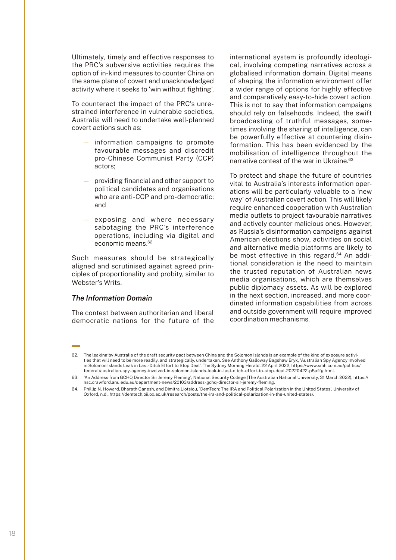Ultimately, timely and effective responses to the PRC's subversive activities requires the option of in-kind measures to counter China on the same plane of covert and unacknowledged activity where it seeks to 'win without fighting'.

To counteract the impact of the PRC's unrestrained interference in vulnerable societies, Australia will need to undertake well-planned covert actions such as:

- information campaigns to promote favourable messages and discredit pro-Chinese Communist Party (CCP) actors;
- providing financial and other support to political candidates and organisations who are anti-CCP and pro-democratic; and
- exposing and where necessary sabotaging the PRC's interference operations, including via digital and economic means.62

Such measures should be strategically aligned and scrutinised against agreed principles of proportionality and probity, similar to Webster's Writs.

#### *The Information Domain*

The contest between authoritarian and liberal democratic nations for the future of the international system is profoundly ideological, involving competing narratives across a globalised information domain. Digital means of shaping the information environment offer a wider range of options for highly effective and comparatively easy-to-hide covert action. This is not to say that information campaigns should rely on falsehoods. Indeed, the swift broadcasting of truthful messages, sometimes involving the sharing of intelligence, can be powerfully effective at countering disinformation. This has been evidenced by the mobilisation of intelligence throughout the narrative contest of the war in Ukraine.<sup>63</sup>

To protect and shape the future of countries vital to Australia's interests information operations will be particularly valuable to a 'new way' of Australian covert action. This will likely require enhanced cooperation with Australian media outlets to project favourable narratives and actively counter malicious ones. However, as Russia's disinformation campaigns against American elections show, activities on social and alternative media platforms are likely to be most effective in this regard.<sup>64</sup> An additional consideration is the need to maintain the trusted reputation of Australian news media organisations, which are themselves public diplomacy assets. As will be explored in the next section, increased, and more coordinated information capabilities from across and outside government will require improved coordination mechanisms.

<sup>62.</sup> The leaking by Australia of the draft security pact between China and the Solomon Islands is an example of the kind of exposure activities that will need to be more readily, and strategically, undertaken. See Anthony Galloway Bagshaw Eryk, 'Australian Spy Agency Involved in Solomon Islands Leak in Last-Ditch Effort to Stop Deal', The Sydney Morning Herald, 22 April 2022, https://www.smh.com.au/politics/ federal/australian-spy-agency-involved-in-solomon-islands-leak-in-last-ditch-effort-to-stop-deal-20220422-p5affg.html.

<sup>63.</sup> 'An Address from GCHQ Director Sir Jeremy Fleming', National Security College (The Australian National University, 31 March 2022), https:// nsc.crawford.anu.edu.au/department-news/20103/address-gchq-director-sir-jeremy-fleming.

<sup>64.</sup> Phillip N. Howard, Bharath Ganesh, and Dimitra Liotsiou, 'DemTech: The IRA and Political Polarization in the United States', University of Oxford, n.d., https://demtech.oii.ox.ac.uk/research/posts/the-ira-and-political-polarization-in-the-united-states/.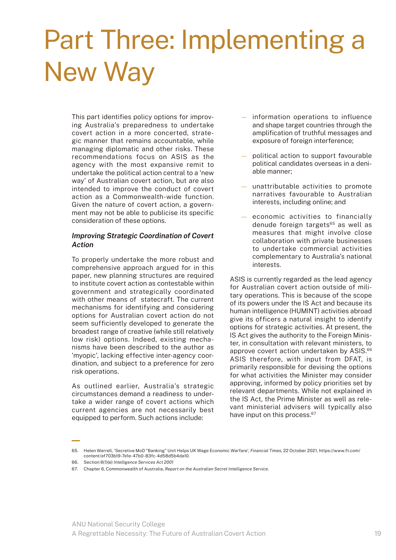### Part Three: Implementing a New Way

This part identifies policy options for improving Australia's preparedness to undertake covert action in a more concerted, strategic manner that remains accountable, while managing diplomatic and other risks. These recommendations focus on ASIS as the agency with the most expansive remit to undertake the political action central to a 'new way' of Australian covert action, but are also intended to improve the conduct of covert action as a Commonwealth-wide function. Given the nature of covert action, a government may not be able to publicise its specific consideration of these options.

#### *Improving Strategic Coordination of Covert Action*

To properly undertake the more robust and comprehensive approach argued for in this paper, new planning structures are required to institute covert action as contestable within government and strategically coordinated with other means of statecraft. The current mechanisms for identifying and considering options for Australian covert action do not seem sufficiently developed to generate the broadest range of creative (while still relatively low risk) options. Indeed, existing mechanisms have been described to the author as 'myopic', lacking effective inter-agency coordination, and subject to a preference for zero risk operations.

As outlined earlier, Australia's strategic circumstances demand a readiness to undertake a wider range of covert actions which current agencies are not necessarily best equipped to perform. Such actions include:

- information operations to influence and shape target countries through the amplification of truthful messages and exposure of foreign interference;
- political action to support favourable political candidates overseas in a deniable manner;
- unattributable activities to promote narratives favourable to Australian interests, including online; and
- economic activities to financially denude foreign targets<sup>65</sup> as well as measures that might involve close collaboration with private businesses to undertake commercial activities complementary to Australia's national interests.

ASIS is currently regarded as the lead agency for Australian covert action outside of military operations. This is because of the scope of its powers under the IS Act and because its human intelligence (HUMINT) activities abroad give its officers a natural insight to identify options for strategic activities. At present, the IS Act gives the authority to the Foreign Minister, in consultation with relevant ministers, to approve covert action undertaken by ASIS.<sup>66</sup> ASIS therefore, with input from DFAT, is primarily responsible for devising the options for what activities the Minister may consider approving, informed by policy priorities set by relevant departments. While not explained in the IS Act, the Prime Minister as well as relevant ministerial advisers will typically also have input on this process.<sup>67</sup>

<sup>65.</sup> Helen Warrell, 'Secretive MoD "Banking" Unit Helps UK Wage Economic Warfare', *Financial Times*, 22 October 2021, https://www.ft.com/ content/af703b19-7e1e-47b0-83fc-4d58d5b4da10.

<sup>66.</sup> Section 6(1)(e) *Intelligence Services Act 2001*

<sup>67.</sup> Chapter 6, Commonwealth of Australia, *Report on the Australian Secret Intelligence Service*.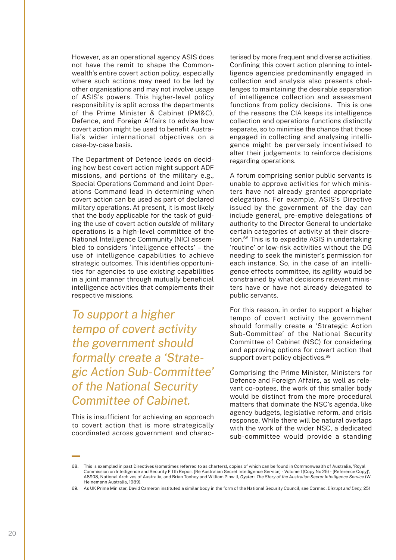However, as an operational agency ASIS does not have the remit to shape the Commonwealth's entire covert action policy, especially where such actions may need to be led by other organisations and may not involve usage of ASIS's powers. This higher-level policy responsibility is split across the departments of the Prime Minister & Cabinet (PM&C), Defence, and Foreign Affairs to advise how covert action might be used to benefit Australia's wider international objectives on a case-by-case basis.

The Department of Defence leads on deciding how best covert action might support ADF missions, and portions of the military e.g., Special Operations Command and Joint Operations Command lead in determining when covert action can be used as part of declared military operations. At present, it is most likely that the body applicable for the task of guiding the use of covert action *outside* of military operations is a high-level committee of the National Intelligence Community (NIC) assembled to considers 'intelligence effects' – the use of intelligence capabilities to achieve strategic outcomes. This identifies opportunities for agencies to use existing capabilities in a joint manner through mutually beneficial intelligence activities that complements their respective missions.

*To support a higher tempo of covert activity the government should formally create a 'Strategic Action Sub-Committee' of the National Security Committee of Cabinet.*

This is insufficient for achieving an approach to covert action that is more strategically coordinated across government and characterised by more frequent and diverse activities. Confining this covert action planning to intelligence agencies predominantly engaged in collection and analysis also presents challenges to maintaining the desirable separation of intelligence collection and assessment functions from policy decisions. This is one of the reasons the CIA keeps its intelligence collection and operations functions distinctly separate, so to minimise the chance that those engaged in collecting and analysing intelligence might be perversely incentivised to alter their judgements to reinforce decisions regarding operations.

A forum comprising senior public servants is unable to approve activities for which ministers have not already granted appropriate delegations. For example, ASIS's Directive issued by the government of the day can include general, pre-emptive delegations of authority to the Director General to undertake certain categories of activity at their discretion.68 This is to expedite ASIS in undertaking 'routine' or low-risk activities without the DG needing to seek the minister's permission for each instance. So, in the case of an intelligence effects committee, its agility would be constrained by what decisions relevant ministers have or have not already delegated to public servants.

For this reason, in order to support a higher tempo of covert activity the government should formally create a 'Strategic Action Sub-Committee' of the National Security Committee of Cabinet (NSC) for considering and approving options for covert action that support overt policy objectives.<sup>69</sup>

Comprising the Prime Minister, Ministers for Defence and Foreign Affairs, as well as relevant co-optees, the work of this smaller body would be distinct from the more procedural matters that dominate the NSC's agenda, like agency budgets, legislative reform, and crisis response. While there will be natural overlaps with the work of the wider NSC, a dedicated sub-committee would provide a standing

<sup>68.</sup> This is exampled in past Directives (sometimes referred to as charters), copies of which can be found in Commonwealth of Australia, 'Royal Commission on Intelligence and Security Fifth Report [Re Australian Secret Intelligence Service] - Volume I (Copy No 25) - [Reference Copy]', A8908, National Archives of Australia, and Brian Toohey and William Pinwill, *Oyster : The Story of the Australian Secret Intelligence Service* (W. Heinemann Australia, 1989).

<sup>69.</sup> As UK Prime Minister, David Cameron instituted a similar body in the form of the National Security Council, see Cormac, *Disrupt and Deny*, 251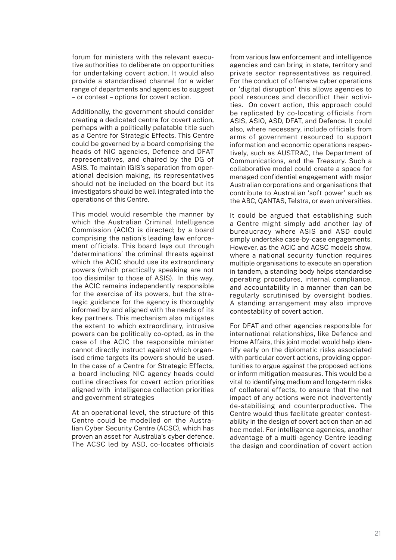forum for ministers with the relevant executive authorities to deliberate on opportunities for undertaking covert action. It would also provide a standardised channel for a wider range of departments and agencies to suggest – or contest – options for covert action.

Additionally, the government should consider creating a dedicated centre for covert action, perhaps with a politically palatable title such as a Centre for Strategic Effects. This Centre could be governed by a board comprising the heads of NIC agencies, Defence and DFAT representatives, and chaired by the DG of ASIS. To maintain IGIS's separation from operational decision making, its representatives should not be included on the board but its investigators should be well integrated into the operations of this Centre.

This model would resemble the manner by which the Australian Criminal Intelligence Commission (ACIC) is directed; by a board comprising the nation's leading law enforcement officials. This board lays out through 'determinations' the criminal threats against which the ACIC should use its extraordinary powers (which practically speaking are not too dissimilar to those of ASIS). In this way, the ACIC remains independently responsible for the exercise of its powers, but the strategic guidance for the agency is thoroughly informed by and aligned with the needs of its key partners. This mechanism also mitigates the extent to which extraordinary, intrusive powers can be politically co-opted, as in the case of the ACIC the responsible minister cannot directly instruct against which organised crime targets its powers should be used. In the case of a Centre for Strategic Effects, a board including NIC agency heads could outline directives for covert action priorities aligned with intelligence collection priorities and government strategies

At an operational level, the structure of this Centre could be modelled on the Australian Cyber Security Centre (ACSC), which has proven an asset for Australia's cyber defence. The ACSC led by ASD, co-locates officials from various law enforcement and intelligence agencies and can bring in state, territory and private sector representatives as required. For the conduct of offensive cyber operations or 'digital disruption' this allows agencies to pool resources and deconflict their activities. On covert action, this approach could be replicated by co-locating officials from ASIS, ASIO, ASD, DFAT, and Defence. It could also, where necessary, include officials from arms of government resourced to support information and economic operations respectively, such as AUSTRAC, the Department of Communications, and the Treasury. Such a collaborative model could create a space for managed confidential engagement with major Australian corporations and organisations that contribute to Australian 'soft power' such as the ABC, QANTAS, Telstra, or even universities.

It could be argued that establishing such a Centre might simply add another lay of bureaucracy where ASIS and ASD could simply undertake case-by-case engagements. However, as the ACIC and ACSC models show, where a national security function requires multiple organisations to execute an operation in tandem, a standing body helps standardise operating procedures, internal compliance, and accountability in a manner than can be regularly scrutinised by oversight bodies. A standing arrangement may also improve contestability of covert action.

For DFAT and other agencies responsible for international relationships, like Defence and Home Affairs, this joint model would help identify early on the diplomatic risks associated with particular covert actions, providing opportunities to argue against the proposed actions or inform mitigation measures. This would be a vital to identifying medium and long-term risks of collateral effects, to ensure that the net impact of any actions were not inadvertently de-stabilising and counterproductive. The Centre would thus facilitate greater contestability in the design of covert action than an ad hoc model. For intelligence agencies, another advantage of a multi-agency Centre leading the design and coordination of covert action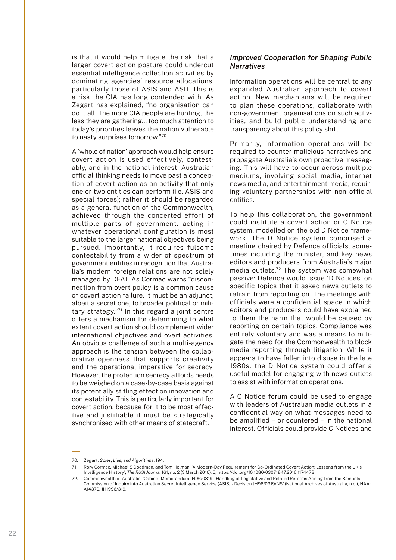is that it would help mitigate the risk that a larger covert action posture could undercut essential intelligence collection activities by dominating agencies' resource allocations, particularly those of ASIS and ASD. This is a risk the CIA has long contended with. As Zegart has explained, "no organisation can do it all. The more CIA people are hunting, the less they are gathering… too much attention to today's priorities leaves the nation vulnerable to nasty surprises tomorrow."70

A 'whole of nation' approach would help ensure covert action is used effectively, contestably, and in the national interest. Australian official thinking needs to move past a conception of covert action as an activity that only one or two entities can perform (i.e. ASIS and special forces); rather it should be regarded as a general function of the Commonwealth, achieved through the concerted effort of multiple parts of government. acting in whatever operational configuration is most suitable to the larger national objectives being pursued. Importantly, it requires fulsome contestability from a wider of spectrum of government entities in recognition that Australia's modern foreign relations are not solely managed by DFAT. As Cormac warns "disconnection from overt policy is a common cause of covert action failure. It must be an adjunct, albeit a secret one, to broader political or military strategy."71 In this regard a joint centre offers a mechanism for determining to what extent covert action should complement wider international objectives and overt activities. An obvious challenge of such a multi-agency approach is the tension between the collaborative openness that supports creativity and the operational imperative for secrecy. However, the protection secrecy affords needs to be weighed on a case-by-case basis against its potentially stifling effect on innovation and contestability. This is particularly important for covert action, because for it to be most effective and justifiable it must be strategically synchronised with other means of statecraft.

#### *Improved Cooperation for Shaping Public Narratives*

Information operations will be central to any expanded Australian approach to covert action. New mechanisms will be required to plan these operations, collaborate with non-government organisations on such activities, and build public understanding and transparency about this policy shift.

Primarily, information operations will be required to counter malicious narratives and propagate Australia's own proactive messaging. This will have to occur across multiple mediums, involving social media, internet news media, and entertainment media, requiring voluntary partnerships with non-official entities.

To help this collaboration, the government could institute a covert action or C Notice system, modelled on the old D Notice framework. The D Notice system comprised a meeting chaired by Defence officials, sometimes including the minister, and key news editors and producers from Australia's major media outlets.72 The system was somewhat passive: Defence would issue 'D Notices' on specific topics that it asked news outlets to refrain from reporting on. The meetings with officials were a confidential space in which editors and producers could have explained to them the harm that would be caused by reporting on certain topics. Compliance was entirely voluntary and was a means to mitigate the need for the Commonwealth to block media reporting through litigation. While it appears to have fallen into disuse in the late 1980s, the D Notice system could offer a useful model for engaging with news outlets to assist with information operations.

A C Notice forum could be used to engage with leaders of Australian media outlets in a confidential way on what messages need to be amplified – or countered – in the national interest. Officials could provide C Notices and

<sup>70.</sup> Zegart, *Spies, Lies, and Algorithms*, 194.

<sup>71.</sup> Rory Cormac, Michael S Goodman, and Tom Holman, 'A Modern-Day Requirement for Co-Ordinated Covert Action: Lessons from the UK's Intelligence History', *The RUSI Journal* 161, no. 2 (3 March 2016): 6, https://doi.org/10.1080/03071847.2016.1174478.

<sup>72.</sup> Commonwealth of Australia, 'Cabinet Memorandum JH96/0319 - Handling of Legislative and Related Reforms Arising from the Samuels Commission of Inquiry into Australian Secret Intelligence Service (ASIS) - Decision JH96/0319/NS' (National Archives of Australia, n.d.), NAA: A14370, JH1996/319.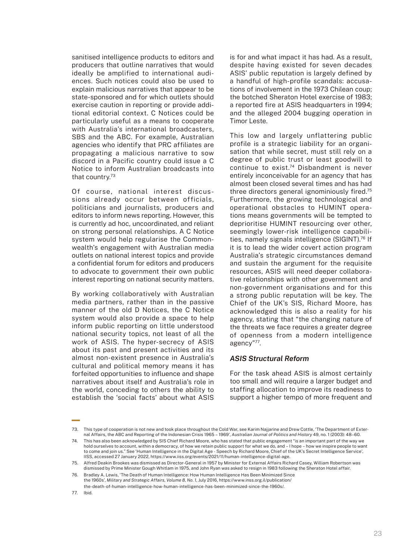sanitised intelligence products to editors and producers that outline narratives that would ideally be amplified to international audiences. Such notices could also be used to explain malicious narratives that appear to be state-sponsored and for which outlets should exercise caution in reporting or provide additional editorial context. C Notices could be particularly useful as a means to cooperate with Australia's international broadcasters, SBS and the ABC. For example, Australian agencies who identify that PRC affiliates are propagating a malicious narrative to sow discord in a Pacific country could issue a C Notice to inform Australian broadcasts into that country.73

Of course, national interest discussions already occur between officials, politicians and journalists, producers and editors to inform news reporting. However, this is currently ad hoc, uncoordinated, and reliant on strong personal relationships. A C Notice system would help regularise the Commonwealth's engagement with Australian media outlets on national interest topics and provide a confidential forum for editors and producers to advocate to government their own public interest reporting on national security matters.

By working collaboratively with Australian media partners, rather than in the passive manner of the old D Notices, the C Notice system would also provide a space to help inform public reporting on little understood national security topics, not least of all the work of ASIS. The hyper-secrecy of ASIS about its past and present activities and its almost non-existent presence in Australia's cultural and political memory means it has forfeited opportunities to influence and shape narratives about itself and Australia's role in the world, conceding to others the ability to establish the 'social facts' about what ASIS

is for and what impact it has had. As a result, despite having existed for seven decades ASIS' public reputation is largely defined by a handful of high-profile scandals: accusations of involvement in the 1973 Chilean coup; the botched Sheraton Hotel exercise of 1983; a reported fire at ASIS headquarters in 1994; and the alleged 2004 bugging operation in Timor Leste.

This low and largely unflattering public profile is a strategic liability for an organisation that while secret, must still rely on a degree of public trust or least goodwill to continue to exist.74 Disbandment is never entirely inconceivable for an agency that has almost been closed several times and has had three directors general ignominiously fired.<sup>75</sup> Furthermore, the growing technological and operational obstacles to HUMINT operations means governments will be tempted to deprioritise HUMINT resourcing over other, seemingly lower-risk intelligence capabilities, namely signals intelligence (SIGINT).76 If it is to lead the wider covert action program Australia's strategic circumstances demand and sustain the argument for the requisite resources, ASIS will need deeper collaborative relationships with other government and non-government organisations and for this a strong public reputation will be key. The Chief of the UK's SIS, Richard Moore, has acknowledged this is also a reality for his agency, stating that "the changing nature of the threats we face requires a greater degree of openness from a modern intelligence agency"77.

#### *ASIS Structural Reform*

For the task ahead ASIS is almost certainly too small and will require a larger budget and staffing allocation to improve its readiness to support a higher tempo of more frequent and

<sup>73.</sup> This type of cooperation is not new and took place throughout the Cold War, see Karim Najjarine and Drew Cottle, 'The Department of External Affairs, the ABC and Reporting of the Indonesian Crisis 1965 – 1969', *Australian Journal of Politics and History* 49, no. 1 (2003): 48–60.

<sup>74.</sup> This has also been acknowledged by SIS Chief Richard Moore, who has stated that public engagement "is an important part of the way we hold ourselves to account, within a democracy, of how we retain public support for what we do, and – I hope – how we inspire people to want to come and join us." See 'Human Intelligence in the Digital Age - Speech by Richard Moore, Chief of the UK's Secret Intelligence Service', IISS, accessed 27 January 2022, https://www.iiss.org/events/2021/11/human-intelligence-digital-age.

<sup>75.</sup> Alfred Deakin Brookes was dismissed as Director-General in 1957 by Minister for External Affairs Richard Casey, William Robertson was dismissed by Prime Minister Gough Whitlam in 1975, and John Ryan was asked to resign in 1983 following the Sheraton Hotel affair. 76. Bradley A. Lewis, 'The Death of Human Intelligence: How Human Intelligence Has Been Minimized Since

the 1960s', *Military and Strategic Affairs, Volume 8, No. 1*, July 2016, https://www.inss.org.il/publication/ the-death-of-human-intelligence-how-human-intelligence-has-been-minimized-since-the-1960s/.

<sup>77.</sup> Ibid.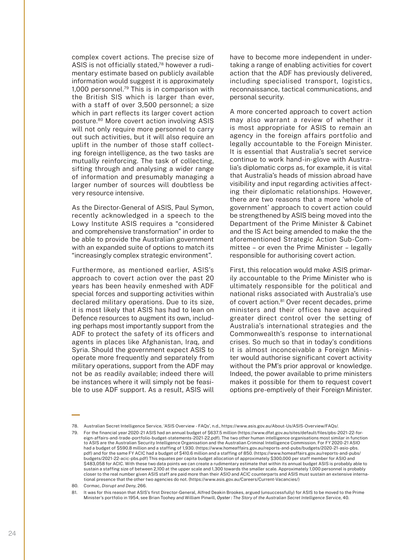complex covert actions. The precise size of ASIS is not officially stated.<sup>78</sup> however a rudimentary estimate based on publicly available information would suggest it is approximately 1,000 personnel.79 This is in comparison with the British SIS which is larger than ever, with a staff of over 3,500 personnel; a size which in part reflects its larger covert action posture.80 More covert action involving ASIS will not only require more personnel to carry out such activities, but it will also require an uplift in the number of those staff collecting foreign intelligence, as the two tasks are mutually reinforcing. The task of collecting, sifting through and analysing a wider range of information and presumably managing a larger number of sources will doubtless be very resource intensive.

As the Director-General of ASIS, Paul Symon, recently acknowledged in a speech to the Lowy Institute ASIS requires a "considered and comprehensive transformation" in order to be able to provide the Australian government with an expanded suite of options to match its "increasingly complex strategic environment".

Furthermore, as mentioned earlier, ASIS's approach to covert action over the past 20 years has been heavily enmeshed with ADF special forces and supporting activities within declared military operations. Due to its size, it is most likely that ASIS has had to lean on Defence resources to augment its own, including perhaps most importantly support from the ADF to protect the safety of its officers and agents in places like Afghanistan, Iraq, and Syria. Should the government expect ASIS to operate more frequently and separately from military operations, support from the ADF may not be as readily available; indeed there will be instances where it will simply not be feasible to use ADF support. As a result, ASIS will

have to become more independent in undertaking a range of enabling activities for covert action that the ADF has previously delivered, including specialised transport, logistics, reconnaissance, tactical communications, and personal security.

A more concerted approach to covert action may also warrant a review of whether it is most appropriate for ASIS to remain an agency in the foreign affairs portfolio and legally accountable to the Foreign Minister. It is essential that Australia's secret service continue to work hand-in-glove with Australia's diplomatic corps as, for example, it is vital that Australia's heads of mission abroad have visibility and input regarding activities affecting their diplomatic relationships. However, there are two reasons that a more 'whole of government' approach to covert action could be strengthened by ASIS being moved into the Department of the Prime Minister & Cabinet and the IS Act being amended to make the the aforementioned Strategic Action Sub-Committee – or even the Prime Minister – legally responsible for authorising covert action.

First, this relocation would make ASIS primarily accountable to the Prime Minister who is ultimately responsible for the political and national risks associated with Australia's use of covert action.<sup>81</sup> Over recent decades, prime ministers and their offices have acquired greater direct control over the setting of Australia's international strategies and the Commonwealth's response to international crises. So much so that in today's conditions it is almost inconceivable a Foreign Minister would authorise significant covert activity without the PM's prior approval or knowledge. Indeed, the power available to prime ministers makes it possible for them to request covert options pre-emptively of their Foreign Minister.

<sup>78.</sup> Australian Secret Intelligence Service, 'ASIS Overview - FAQs', n.d., https://www.asis.gov.au/About-Us/ASIS-Overview/FAQs/.

<sup>79.</sup> For the financial year 2020-21 ASIS had an annual budget of \$637.5 million ([https://www.dfat.gov.au/sites/default/files/pbs-2021-22-for](https://www.dfat.gov.au/sites/default/files/pbs-2021-22-foreign-affairs-and-trade-portfolio-budget-statements-2021-22.pdf)[eign-affairs-and-trade-portfolio-budget-statements-2021-22.pdf](https://www.dfat.gov.au/sites/default/files/pbs-2021-22-foreign-affairs-and-trade-portfolio-budget-statements-2021-22.pdf)). The two other human intelligence organisations most similar in function to ASIS are the Australian Security Intelligence Organisation and the Australian Criminal Intelligence Commission. For FY 2020-21 ASIO had a budget of \$590.8 million and a staffing of 1,930. [\(https://www.homeaffairs.gov.au/reports-and-pubs/budgets/2020-21-asio-pbs.](https://www.homeaffairs.gov.au/reports-and-pubs/budgets/2020-21-asio-pbs.pdf) [pdf\)](https://www.homeaffairs.gov.au/reports-and-pubs/budgets/2020-21-asio-pbs.pdf) and for the same FY ACIC had a budget of \$410.6 million and a staffing of 850. ([https://www.homeaffairs.gov.au/reports-and-pubs/](https://www.homeaffairs.gov.au/reports-and-pubs/budgets/2021-22-acic-pbs.pdf) [budgets/2021-22-acic-pbs.pdf\)](https://www.homeaffairs.gov.au/reports-and-pubs/budgets/2021-22-acic-pbs.pdf) This equates per capita budget allocation of approximately \$300,000 per staff member for ASIO and \$483,058 for ACIC. With these two data points we can create a rudimentary estimate that within its annual budget ASIS is probably able to sustain a staffing size of between 2,100 at the upper scale and 1,300 towards the smaller scale. Approximately 1,000 personnel is probably closer to the real number given ASIS staff are paid more than their ASIO and ACIC counterparts and ASIS must sustain an extensive international presence that the other two agencies do not. ([https://www.asis.gov.au/Careers/Current-Vacancies/\)](https://www.asis.gov.au/Careers/Current-Vacancies/)

<sup>80.</sup> Cormac, *Disrupt and Deny*, 266.

<sup>81.</sup> It was for this reason that ASIS's first Director-General, Alfred Deakin Brookes, argued (unsuccessfully) for ASIS to be moved to the Prime Minister's portfolio in 1954, see Brian Toohey and William Pinwill, *Oyster : The Story of the Australian Secret Intelligence Service*, 40.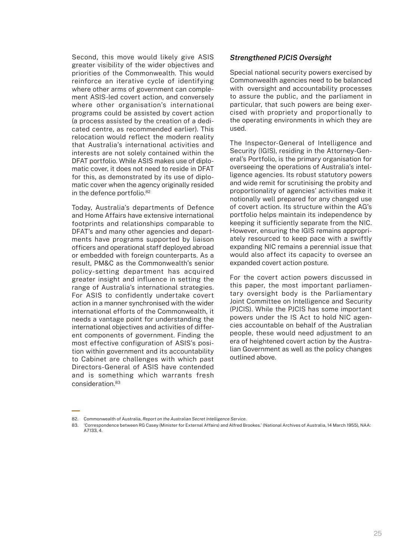Second, this move would likely give ASIS greater visibility of the wider objectives and priorities of the Commonwealth. This would reinforce an iterative cycle of identifying where other arms of government can complement ASIS-led covert action, and conversely where other organisation's international programs could be assisted by covert action (a process assisted by the creation of a dedicated centre, as recommended earlier). This relocation would reflect the modern reality that Australia's international activities and interests are not solely contained within the DFAT portfolio. While ASIS makes use of diplomatic cover, it does not need to reside in DFAT for this, as demonstrated by its use of diplomatic cover when the agency originally resided in the defence portfolio.<sup>82</sup>

Today, Australia's departments of Defence and Home Affairs have extensive international footprints and relationships comparable to DFAT's and many other agencies and departments have programs supported by liaison officers and operational staff deployed abroad or embedded with foreign counterparts. As a result, PM&C as the Commonwealth's senior policy-setting department has acquired greater insight and influence in setting the range of Australia's international strategies. For ASIS to confidently undertake covert action in a manner synchronised with the wider international efforts of the Commonwealth, it needs a vantage point for understanding the international objectives and activities of different components of government. Finding the most effective configuration of ASIS's position within government and its accountability to Cabinet are challenges with which past Directors-General of ASIS have contended and is something which warrants fresh consideration.83

#### *Strengthened PJCIS Oversight*

Special national security powers exercised by Commonwealth agencies need to be balanced with oversight and accountability processes to assure the public, and the parliament in particular, that such powers are being exercised with propriety and proportionally to the operating environments in which they are used.

The Inspector-General of Intelligence and Security (IGIS), residing in the Attorney-General's Portfolio, is the primary organisation for overseeing the operations of Australia's intelligence agencies. Its robust statutory powers and wide remit for scrutinising the probity and proportionality of agencies' activities make it notionally well prepared for any changed use of covert action. Its structure within the AG's portfolio helps maintain its independence by keeping it sufficiently separate from the NIC. However, ensuring the IGIS remains appropriately resourced to keep pace with a swiftly expanding NIC remains a perennial issue that would also affect its capacity to oversee an expanded covert action posture.

For the covert action powers discussed in this paper, the most important parliamentary oversight body is the Parliamentary Joint Committee on Intelligence and Security (PJCIS). While the PJCIS has some important powers under the IS Act to hold NIC agencies accountable on behalf of the Australian people, these would need adjustment to an era of heightened covert action by the Australian Government as well as the policy changes outlined above.

<sup>82.</sup> Commonwealth of Australia, *Report on the Australian Secret Intelligence Service*.

<sup>83.</sup> 'Correspondence between RG Casey (Minister for External Affairs) and Alfred Brookes.' (National Archives of Australia, 14 March 1955), NAA: A7133, 4.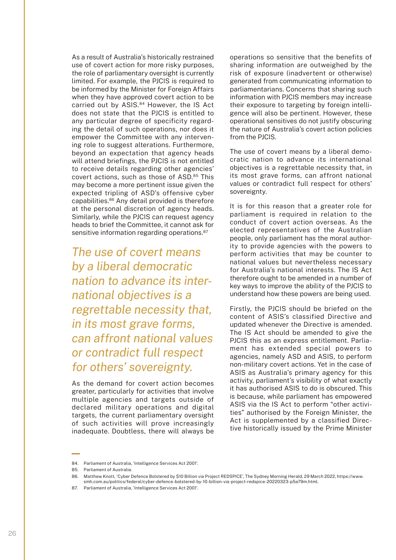As a result of Australia's historically restrained use of covert action for more risky purposes, the role of parliamentary oversight is currently limited. For example, the PJCIS is required to be informed by the Minister for Foreign Affairs when they have approved covert action to be carried out by ASIS.<sup>84</sup> However, the IS Act does not state that the PJCIS is entitled to any particular degree of specificity regarding the detail of such operations, nor does it empower the Committee with any intervening role to suggest alterations. Furthermore, beyond an expectation that agency heads will attend briefings, the PJCIS is not entitled to receive details regarding other agencies' covert actions, such as those of ASD.<sup>85</sup> This may become a more pertinent issue given the expected tripling of ASD's offensive cyber capabilities.86 Any detail provided is therefore at the personal discretion of agency heads. Similarly, while the PJCIS can request agency heads to brief the Committee, it cannot ask for sensitive information regarding operations.<sup>87</sup>

*The use of covert means by a liberal democratic nation to advance its international objectives is a regrettable necessity that, in its most grave forms, can affront national values or contradict full respect for others' sovereignty.* 

As the demand for covert action becomes greater, particularly for activities that involve multiple agencies and targets outside of declared military operations and digital targets, the current parliamentary oversight of such activities will prove increasingly inadequate. Doubtless, there will always be operations so sensitive that the benefits of sharing information are outweighed by the risk of exposure (inadvertent or otherwise) generated from communicating information to parliamentarians. Concerns that sharing such information with PJCIS members may increase their exposure to targeting by foreign intelligence will also be pertinent. However, these operational sensitives do not justify obscuring the nature of Australia's covert action policies from the PJCIS.

The use of covert means by a liberal democratic nation to advance its international objectives is a regrettable necessity that, in its most grave forms, can affront national values or contradict full respect for others' sovereignty.

It is for this reason that a greater role for parliament is required in relation to the conduct of covert action overseas. As the elected representatives of the Australian people, only parliament has the moral authority to provide agencies with the powers to perform activities that may be counter to national values but nevertheless necessary for Australia's national interests. The IS Act therefore ought to be amended in a number of key ways to improve the ability of the PJCIS to understand how these powers are being used.

Firstly, the PJCIS should be briefed on the content of ASIS's classified Directive and updated whenever the Directive is amended. The IS Act should be amended to give the PJCIS this as an express entitlement. Parliament has extended special powers to agencies, namely ASD and ASIS, to perform non-military covert actions. Yet in the case of ASIS as Australia's primary agency for this activity, parliament's visibility of what exactly it has authorised ASIS to do is obscured. This is because, while parliament has empowered ASIS via the IS Act to perform "other activities" authorised by the Foreign Minister, the Act is supplemented by a classified Directive historically issued by the Prime Minister

<sup>84.</sup> Parliament of Australia, 'Intelligence Services Act 2001'.

<sup>85.</sup> Parliament of Australia.

<sup>86.</sup> Matthew Knott, 'Cyber Defence Bolstered by \$10 Billion via Project REDSPICE', The Sydney Morning Herald, 29 March 2022, https://www. smh.com.au/politics/federal/cyber-defence-bolstered-by-10-billion-via-project-redspice-20220323-p5a79m.html.

<sup>87.</sup> Parliament of Australia, 'Intelligence Services Act 2001'.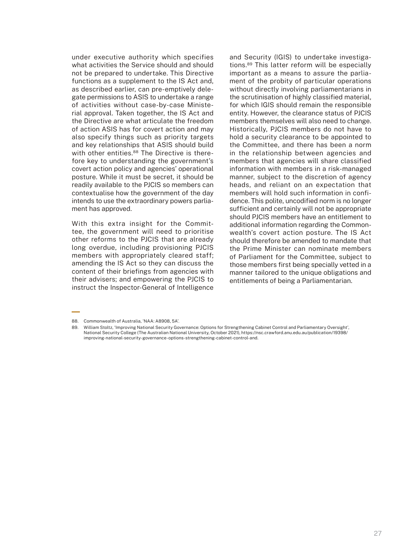under executive authority which specifies what activities the Service should and should not be prepared to undertake. This Directive functions as a supplement to the IS Act and, as described earlier, can pre-emptively delegate permissions to ASIS to undertake a range of activities without case-by-case Ministerial approval. Taken together, the IS Act and the Directive are what articulate the freedom of action ASIS has for covert action and may also specify things such as priority targets and key relationships that ASIS should build with other entities.<sup>88</sup> The Directive is therefore key to understanding the government's covert action policy and agencies' operational posture. While it must be secret, it should be readily available to the PJCIS so members can contextualise how the government of the day intends to use the extraordinary powers parliament has approved.

With this extra insight for the Committee, the government will need to prioritise other reforms to the PJCIS that are already long overdue, including provisioning PJCIS members with appropriately cleared staff; amending the IS Act so they can discuss the content of their briefings from agencies with their advisers; and empowering the PJCIS to instruct the Inspector-General of Intelligence and Security (IGIS) to undertake investigations.89 This latter reform will be especially important as a means to assure the parliament of the probity of particular operations without directly involving parliamentarians in the scrutinisation of highly classified material, for which IGIS should remain the responsible entity. However, the clearance status of PJCIS members themselves will also need to change. Historically, PJCIS members do not have to hold a security clearance to be appointed to the Committee, and there has been a norm in the relationship between agencies and members that agencies will share classified information with members in a risk-managed manner, subject to the discretion of agency heads, and reliant on an expectation that members will hold such information in confidence. This polite, uncodified norm is no longer sufficient and certainly will not be appropriate should PJCIS members have an entitlement to additional information regarding the Commonwealth's covert action posture. The IS Act should therefore be amended to mandate that the Prime Minister can nominate members of Parliament for the Committee, subject to those members first being specially vetted in a manner tailored to the unique obligations and entitlements of being a Parliamentarian.

<sup>88.</sup> Commonwealth of Australia, 'NAA: A8908, 5A'.

<sup>89.</sup> William Stoltz, 'Improving National Security Governance: Options for Strengthening Cabinet Control and Parliamentary Oversight', National Security College (The Australian National University, October 2021), https://nsc.crawford.anu.edu.au/publication/19398/ improving-national-security-governance-options-strengthening-cabinet-control-and.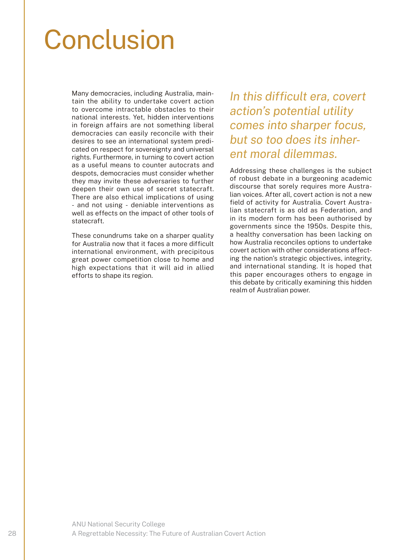### Conclusion

Many democracies, including Australia, maintain the ability to undertake covert action to overcome intractable obstacles to their national interests. Yet, hidden interventions in foreign affairs are not something liberal democracies can easily reconcile with their desires to see an international system predicated on respect for sovereignty and universal rights. Furthermore, in turning to covert action as a useful means to counter autocrats and despots, democracies must consider whether they may invite these adversaries to further deepen their own use of secret statecraft. There are also ethical implications of using - and not using - deniable interventions as well as effects on the impact of other tools of statecraft.

These conundrums take on a sharper quality for Australia now that it faces a more difficult international environment, with precipitous great power competition close to home and high expectations that it will aid in allied efforts to shape its region.

*In this difficult era, covert action's potential utility comes into sharper focus, but so too does its inherent moral dilemmas.*

Addressing these challenges is the subject of robust debate in a burgeoning academic discourse that sorely requires more Australian voices. After all, covert action is not a new field of activity for Australia. Covert Australian statecraft is as old as Federation, and in its modern form has been authorised by governments since the 1950s. Despite this, a healthy conversation has been lacking on how Australia reconciles options to undertake covert action with other considerations affecting the nation's strategic objectives, integrity, and international standing. It is hoped that this paper encourages others to engage in this debate by critically examining this hidden realm of Australian power.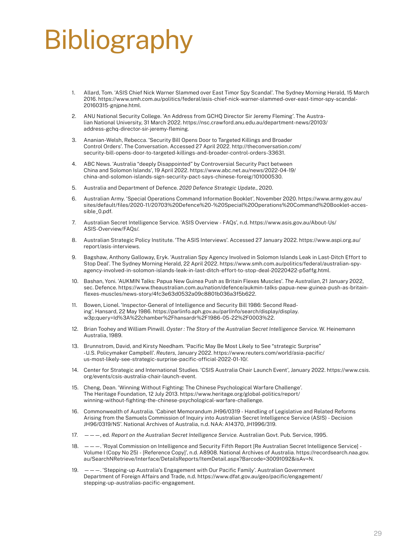## Bibliography

- 1. Allard, Tom. 'ASIS Chief Nick Warner Slammed over East Timor Spy Scandal'. The Sydney Morning Herald, 15 March 2016. https://www.smh.com.au/politics/federal/asis-chief-nick-warner-slammed-over-east-timor-spy-scandal-20160315-gnjpne.html.
- 2. ANU National Security College. 'An Address from GCHQ Director Sir Jeremy Fleming'. The Australian National University, 31 March 2022. https://nsc.crawford.anu.edu.au/department-news/20103/ address-gchq-director-sir-jeremy-fleming.
- 3. Ananian-Welsh, Rebecca. 'Security Bill Opens Door to Targeted Killings and Broader Control Orders'. The Conversation. Accessed 27 April 2022. http://theconversation.com/ security-bill-opens-door-to-targeted-killings-and-broader-control-orders-33631.
- 4. ABC News. 'Australia "deeply Disappointed" by Controversial Security Pact between China and Solomon Islands', 19 April 2022. https://www.abc.net.au/news/2022-04-19/ china-and-solomon-islands-sign-security-pact-says-chinese-foreig/101000530.
- 5. Australia and Department of Defence. *2020 Defence Strategic Update.*, 2020.
- 6. Australian Army. 'Special Operations Command Information Booklet', November 2020. https://www.army.gov.au/ sites/default/files/2020-11/20703%20Defence%20-%20Special%20Operations%20Command%20Booklet-accessible\_0.pdf.
- 7. Australian Secret Intelligence Service. 'ASIS Overview FAQs', n.d. https://www.asis.gov.au/About-Us/ ASIS-Overview/FAQs/.
- 8. Australian Strategic Policy Institute. 'The ASIS Interviews'. Accessed 27 January 2022. https://www.aspi.org.au/ report/asis-interviews.
- 9. Bagshaw, Anthony Galloway, Eryk. 'Australian Spy Agency Involved in Solomon Islands Leak in Last-Ditch Effort to Stop Deal'. The Sydney Morning Herald, 22 April 2022. https://www.smh.com.au/politics/federal/australian-spyagency-involved-in-solomon-islands-leak-in-last-ditch-effort-to-stop-deal-20220422-p5affg.html.
- 10. Bashan, Yoni. 'AUKMIN Talks: Papua New Guinea Push as Britain Flexes Muscles'. *The Australian*, 21 January 2022, sec. Defence. https://www.theaustralian.com.au/nation/defence/aukmin-talks-papua-new-guinea-push-as-britainflexes-muscles/news-story/4fc3e63d0532a09c8801b036a3f5b622.
- 11. Bowen, Lionel. 'Inspector-General of Intelligence and Security Bill 1986: Second Reading'. Hansard, 22 May 1986. https://parlinfo.aph.gov.au/parlInfo/search/display/display. w3p;query=Id%3A%22chamber%2Fhansardr%2F1986-05-22%2F0003%22.
- 12. Brian Toohey and William Pinwill. *Oyster : The Story of the Australian Secret Intelligence Service*. W. Heinemann Australia, 1989.
- 13. Brunnstrom, David, and Kirsty Needham. 'Pacific May Be Most Likely to See "strategic Surprise" -U.S. Policymaker Campbell'. *Reuters*, January 2022. https://www.reuters.com/world/asia-pacific/ us-most-likely-see-strategic-surprise-pacific-official-2022-01-10/.
- 14. Center for Strategic and International Studies. 'CSIS Australia Chair Launch Event', January 2022. https://www.csis. org/events/csis-australia-chair-launch-event.
- 15. Cheng, Dean. 'Winning Without Fighting: The Chinese Psychological Warfare Challenge'. The Heritage Foundation, 12 July 2013. https://www.heritage.org/global-politics/report/ winning-without-fighting-the-chinese-psychological-warfare-challenge.
- 16. Commonwealth of Australia. 'Cabinet Memorandum JH96/0319 Handling of Legislative and Related Reforms Arising from the Samuels Commission of Inquiry into Australian Secret Intelligence Service (ASIS) - Decision JH96/0319/NS'. National Archives of Australia, n.d. NAA: A14370, JH1996/319.
- 17. ———, ed. *Report on the Australian Secret Intelligence Service.* Australian Govt. Pub. Service, 1995.
- 18. ———. 'Royal Commission on Intelligence and Security Fifth Report [Re Australian Secret Intelligence Service] Volume I (Copy No 25) - [Reference Copy]', n.d. A8908. National Archives of Australia. https://recordsearch.naa.gov. au/SearchNRetrieve/Interface/DetailsReports/ItemDetail.aspx?Barcode=30091092&isAv=N.
- $-$ . 'Stepping-up Australia's Engagement with Our Pacific Family'. Australian Government Department of Foreign Affairs and Trade, n.d. https://www.dfat.gov.au/geo/pacific/engagement/ stepping-up-australias-pacific-engagement.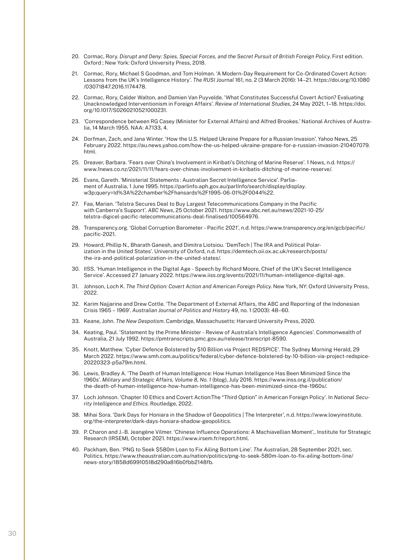- 20. Cormac, Rory. *Disrupt and Deny: Spies, Special Forces, and the Secret Pursuit of British Foreign Policy*. First edition. Oxford ; New York: Oxford University Press, 2018.
- 21. Cormac, Rory, Michael S Goodman, and Tom Holman. 'A Modern-Day Requirement for Co-Ordinated Covert Action: Lessons from the UK's Intelligence History'. *The RUSI Journal* 161, no. 2 (3 March 2016): 14–21. https://doi.org/10.1080 /03071847.2016.1174478.
- 22. Cormac, Rory, Calder Walton, and Damien Van Puyvelde. 'What Constitutes Successful Covert Action? Evaluating Unacknowledged Interventionism in Foreign Affairs'. *Review of International Studies*, 24 May 2021, 1–18. https://doi. org/10.1017/S0260210521000231.
- 23. 'Correspondence between RG Casey (Minister for External Affairs) and Alfred Brookes.' National Archives of Australia, 14 March 1955. NAA: A7133, 4.
- 24. Dorfman, Zach, and Jana Winter. 'How the U.S. Helped Ukraine Prepare for a Russian Invasion'. Yahoo News, 25 February 2022. https://au.news.yahoo.com/how-the-us-helped-ukraine-prepare-for-a-russian-invasion-210407079. html.
- 25. Dreaver, Barbara. 'Fears over China's Involvement in Kiribati's Ditching of Marine Reserve'. 1 News, n.d. https:// www.1news.co.nz/2021/11/11/fears-over-chinas-involvement-in-kiribatis-ditching-of-marine-reserve/.
- 26. Evans, Gareth. 'Ministerial Statements : Australian Secret Intelligence Service'. Parliament of Australia, 1 June 1995. https://parlinfo.aph.gov.au/parlInfo/search/display/display. w3p;query=Id%3A%22chamber%2Fhansards%2F1995-06-01%2F0044%22.
- 27. Faa, Marian. 'Telstra Secures Deal to Buy Largest Telecommunications Company in the Pacific with Canberra's Support'. *ABC News*, 25 October 2021. https://www.abc.net.au/news/2021-10-25/ telstra-digicel-pacific-telecommunications-deal-finalised/100564976.
- 28. Transparency.org. 'Global Corruption Barometer Pacific 2021', n.d. https://www.transparency.org/en/gcb/pacific/ pacific-2021.
- 29. Howard, Phillip N., Bharath Ganesh, and Dimitra Liotsiou. 'DemTech | The IRA and Political Polarization in the United States'. University of Oxford, n.d. https://demtech.oii.ox.ac.uk/research/posts/ the-ira-and-political-polarization-in-the-united-states/.
- 30. IISS. 'Human Intelligence in the Digital Age Speech by Richard Moore, Chief of the UK's Secret Intelligence Service'. Accessed 27 January 2022. https://www.iiss.org/events/2021/11/human-intelligence-digital-age.
- 31. Johnson, Loch K. *The Third Option: Covert Action and American Foreign Policy*. New York, NY: Oxford University Press, 2022.
- 32. Karim Najjarine and Drew Cottle. 'The Department of External Affairs, the ABC and Reporting of the Indonesian Crisis 1965 – 1969'. *Australian Journal of Politics and History* 49, no. 1 (2003): 48–60.
- 33. Keane, John. *The New Despotism*. Cambridge, Massachusetts: Harvard University Press, 2020.
- 34. Keating, Paul. 'Statement by the Prime Minister Review of Australia's Intelligence Agencies'. Commonwealth of Australia, 21 July 1992. https://pmtranscripts.pmc.gov.au/release/transcript-8590.
- 35. Knott, Matthew. 'Cyber Defence Bolstered by \$10 Billion via Project REDSPICE'. The Sydney Morning Herald, 29 March 2022. https://www.smh.com.au/politics/federal/cyber-defence-bolstered-by-10-billion-via-project-redspice-20220323-p5a79m.html.
- 36. Lewis, Bradley A. 'The Death of Human Intelligence: How Human Intelligence Has Been Minimized Since the 1960s'. *Military and Strategic Affairs, Volume 8, No. 1* (blog), July 2016. https://www.inss.org.il/publication/ the-death-of-human-intelligence-how-human-intelligence-has-been-minimized-since-the-1960s/.
- 37. Loch Johnson. 'Chapter 10 Ethics and Covert Action:The "Third Option" in American Foreign Policy'. In *National Security Intelligence and Ethics*. Routledge, 2022.
- 38. Mihai Sora. 'Dark Days for Honiara in the Shadow of Geopolitics | The Interpreter', n.d. https://www.lowyinstitute. org/the-interpreter/dark-days-honiara-shadow-geopolitics.
- 39. P. Charon and J.-B. Jeangène Vilmer. 'Chinese Influence Operations: A Machiavellian Moment',. Institute for Strategic Research (IRSEM), October 2021. https://www.irsem.fr/report.html.
- 40. Packham, Ben. 'PNG to Seek \$580m Loan to Fix Ailing Bottom Line'. *The Australian*, 28 September 2021, sec. Politics. https://www.theaustralian.com.au/nation/politics/png-to-seek-580m-loan-to-fix-ailing-bottom-line/ news-story/1858d69910518d290a816b0fbb2148fb.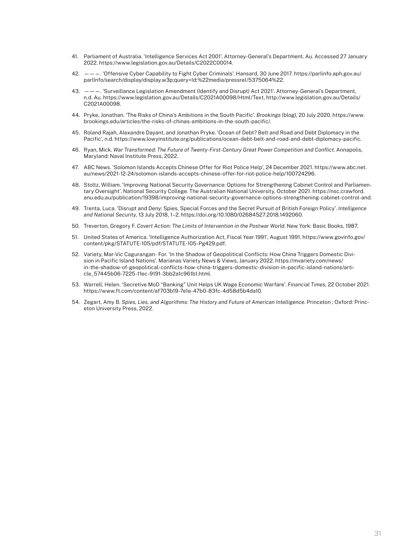- 41. Parliament of Australia. 'Intelligence Services Act 2001'. Attorney-General's Department. Au. Accessed 27 January 2022. https://www.legislation.gov.au/Details/C2022C00014.
- 42. ———. 'Offensive Cyber Capability to Fight Cyber Criminals'. Hansard, 30 June 2017. https://parlinfo.aph.gov.au/ parlInfo/search/display/display.w3p;query=Id:%22media/pressrel/5375064%22.
- 43. ———. 'Surveillance Legislation Amendment (Identify and Disrupt) Act 2021'. Attorney-General's Department, n.d. Au. https://www.legislation.gov.au/Details/C2021A00098/Html/Text, http://www.legislation.gov.au/Details/ C2021A00098.
- 44. Pryke, Jonathan. 'The Risks of China's Ambitions in the South Pacific'. *Brookings* (blog), 20 July 2020. https://www. brookings.edu/articles/the-risks-of-chinas-ambitions-in-the-south-pacific/.
- 45. Roland Rajah, Alexandre Dayant, and Jonathan Pryke. 'Ocean of Debt? Belt and Road and Debt Diplomacy in the Pacific', n.d. https://www.lowyinstitute.org/publications/ocean-debt-belt-and-road-and-debt-diplomacy-pacific.
- 46. Ryan, Mick. *War Transformed: The Future of Twenty-First-Century Great Power Competition and Conflict*. Annapolis, Maryland: Naval Institute Press, 2022.
- 47. ABC News. 'Solomon Islands Accepts Chinese Offer for Riot Police Help', 24 December 2021. https://www.abc.net. au/news/2021-12-24/solomon-islands-accepts-chinese-offer-for-riot-police-help/100724296.
- 48. Stoltz, William. 'Improving National Security Governance: Options for Strengthening Cabinet Control and Parliamentary Oversight'. National Security College. The Australian National University, October 2021. https://nsc.crawford. anu.edu.au/publication/19398/improving-national-security-governance-options-strengthening-cabinet-control-and.
- 49. Trenta, Luca. 'Disrupt and Deny: Spies, Special Forces and the Secret Pursuit of British Foreign Policy'. *Intelligence and National Security*, 13 July 2018, 1–2. https://doi.org/10.1080/02684527.2018.1492060.
- 50. Treverton, Gregory F. *Covert Action: The Limits of Intervention in the Postwar World*. New York: Basic Books, 1987.
- 51. United States of America. 'Intelligence Authorization Act, Fiscal Year 1991', August 1991. https://www.govinfo.gov/ content/pkg/STATUTE-105/pdf/STATUTE-105-Pg429.pdf.
- 52. Variety, Mar-Vic Cagurangan- For. 'In the Shadow of Geopolitical Conflicts: How China Triggers Domestic Division in Pacific Island Nations'. Marianas Variety News & Views, January 2022. https://mvariety.com/news/ in-the-shadow-of-geopolitical-conflicts-how-china-triggers-domestic-division-in-pacific-island-nations/article\_57445b06-7225-11ec-9191-3bb2a1c961b1.html.
- 53. Warrell, Helen. 'Secretive MoD "Banking" Unit Helps UK Wage Economic Warfare'. *Financial Times*, 22 October 2021. https://www.ft.com/content/af703b19-7e1e-47b0-83fc-4d58d5b4da10.
- 54. Zegart, Amy B. *Spies, Lies, and Algorithms: The History and Future of American Intelligence*. Princeton ; Oxford: Princeton University Press, 2022.